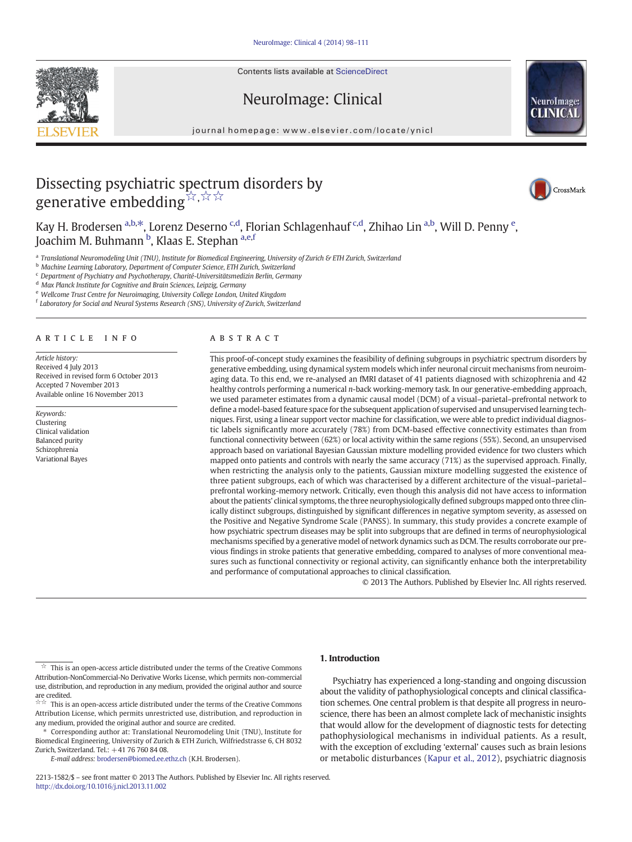Contents lists available at ScienceDirect



# NeuroImage: Clinical

journal homepage: www.elsevier.com/locate/ynicl

# Dissecting psychiatric spectrum disorders by generative embedding ${}^{\dot{\chi},\,\dot{\chi}\,\dot{\chi}}$



Kay H. Brodersen <sup>a,b,\*</sup>, Lorenz Deserno <sup>c,d</sup>, Florian Schlagenhauf <sup>c,d</sup>, Zhihao Lin <sup>a,b</sup>, Will D. Penny <sup>e</sup>, Joachim M. Buhmann <sup>b</sup>, Klaas E. Stephan <sup>a,e,f</sup>

a Translational Neuromodeling Unit (TNU), Institute for Biomedical Engineering, University of Zurich & ETH Zurich, Switzerland

<sup>b</sup> Machine Learning Laboratory, Department of Computer Science, ETH Zurich, Switzerland

 $c$  Department of Psychiatry and Psychotherapy, Charité-Universitätsmedizin Berlin, Germany

<sup>d</sup> Max Planck Institute for Cognitive and Brain Sciences, Leipzig, Germany

<sup>e</sup> Wellcome Trust Centre for Neuroimaging, University College London, United Kingdom

<sup>f</sup> Laboratory for Social and Neural Systems Research (SNS), University of Zurich, Switzerland

#### article info abstract

Article history: Received 4 July 2013 Received in revised form 6 October 2013 Accepted 7 November 2013 Available online 16 November 2013

Keywords: Clustering Clinical validation Balanced purity Schizophrenia Variational Bayes

This proof-of-concept study examines the feasibility of defining subgroups in psychiatric spectrum disorders by generative embedding, using dynamical system models which infer neuronal circuit mechanisms from neuroimaging data. To this end, we re-analysed an fMRI dataset of 41 patients diagnosed with schizophrenia and 42 healthy controls performing a numerical n-back working-memory task. In our generative-embedding approach, we used parameter estimates from a dynamic causal model (DCM) of a visual–parietal–prefrontal network to define a model-based feature space for the subsequent application of supervised and unsupervised learning techniques. First, using a linear support vector machine for classification, we were able to predict individual diagnostic labels significantly more accurately (78%) from DCM-based effective connectivity estimates than from functional connectivity between (62%) or local activity within the same regions (55%). Second, an unsupervised approach based on variational Bayesian Gaussian mixture modelling provided evidence for two clusters which mapped onto patients and controls with nearly the same accuracy (71%) as the supervised approach. Finally, when restricting the analysis only to the patients, Gaussian mixture modelling suggested the existence of three patient subgroups, each of which was characterised by a different architecture of the visual–parietal– prefrontal working-memory network. Critically, even though this analysis did not have access to information about the patients' clinical symptoms, the three neurophysiologically defined subgroups mapped onto three clinically distinct subgroups, distinguished by significant differences in negative symptom severity, as assessed on the Positive and Negative Syndrome Scale (PANSS). In summary, this study provides a concrete example of how psychiatric spectrum diseases may be split into subgroups that are defined in terms of neurophysiological mechanisms specified by a generative model of network dynamics such as DCM. The results corroborate our previous findings in stroke patients that generative embedding, compared to analyses of more conventional measures such as functional connectivity or regional activity, can significantly enhance both the interpretability and performance of computational approaches to clinical classification.

© 2013 The Authors. Published by Elsevier Inc. All rights reserved.

#### This is an open-access article distributed under the terms of the Creative Commons Attribution-NonCommercial-No Derivative Works License, which permits non-commercial use, distribution, and reproduction in any medium, provided the original author and source are credited.

☆☆ This is an open-access article distributed under the terms of the Creative Commons Attribution License, which permits unrestricted use, distribution, and reproduction in any medium, provided the original author and source are credited.

⁎ Corresponding author at: Translational Neuromodeling Unit (TNU), Institute for Biomedical Engineering, University of Zurich & ETH Zurich, Wilfriedstrasse 6, CH 8032 Zurich, Switzerland. Tel.: +41 76 760 84 08.

E-mail address: [brodersen@biomed.ee.ethz.ch](mailto:brodersen@biomed.ee.ethz.ch) (K.H. Brodersen).

2213-1582/\$ – see front matter © 2013 The Authors. Published by Elsevier Inc. All rights reserved. <http://dx.doi.org/10.1016/j.nicl.2013.11.002>

## 1. Introduction

Psychiatry has experienced a long-standing and ongoing discussion about the validity of pathophysiological concepts and clinical classification schemes. One central problem is that despite all progress in neuroscience, there has been an almost complete lack of mechanistic insights that would allow for the development of diagnostic tests for detecting pathophysiological mechanisms in individual patients. As a result, with the exception of excluding 'external' causes such as brain lesions or metabolic disturbances [\(Kapur et al., 2012](#page-12-0)), psychiatric diagnosis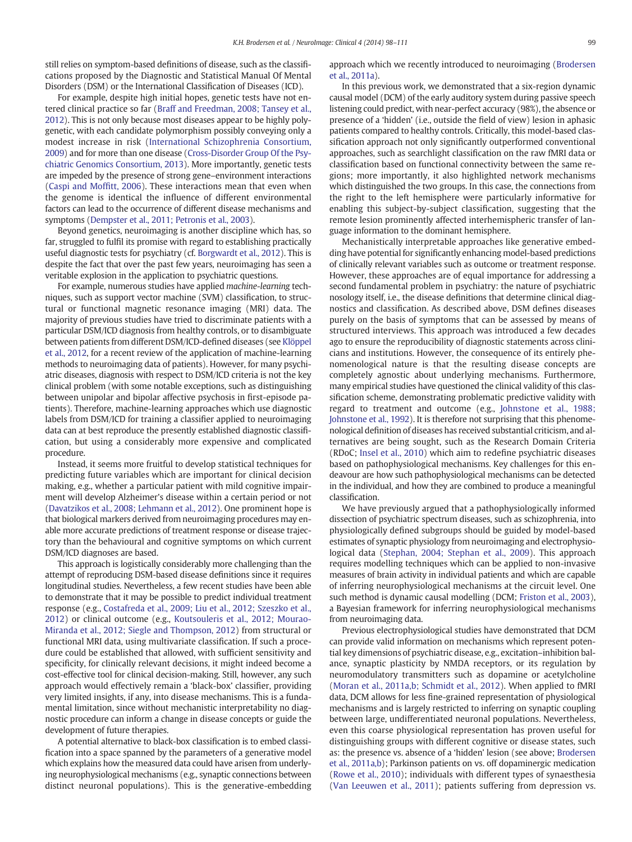still relies on symptom-based definitions of disease, such as the classifications proposed by the Diagnostic and Statistical Manual Of Mental Disorders (DSM) or the International Classification of Diseases (ICD).

For example, despite high initial hopes, genetic tests have not entered clinical practice so far [\(Braff and Freedman, 2008; Tansey et al.,](#page-11-0) [2012](#page-11-0)). This is not only because most diseases appear to be highly polygenetic, with each candidate polymorphism possibly conveying only a modest increase in risk ([International Schizophrenia Consortium,](#page-12-0) [2009](#page-12-0)) and for more than one disease ([Cross-Disorder Group Of the Psy](#page-12-0)[chiatric Genomics Consortium, 2013](#page-12-0)). More importantly, genetic tests are impeded by the presence of strong gene–environment interactions [\(Caspi and Mof](#page-11-0)fitt, 2006). These interactions mean that even when the genome is identical the influence of different environmental factors can lead to the occurrence of different disease mechanisms and symptoms [\(Dempster et al., 2011; Petronis et al., 2003](#page-12-0)).

Beyond genetics, neuroimaging is another discipline which has, so far, struggled to fulfil its promise with regard to establishing practically useful diagnostic tests for psychiatry (cf. [Borgwardt et al., 2012](#page-11-0)). This is despite the fact that over the past few years, neuroimaging has seen a veritable explosion in the application to psychiatric questions.

For example, numerous studies have applied machine-learning techniques, such as support vector machine (SVM) classification, to structural or functional magnetic resonance imaging (MRI) data. The majority of previous studies have tried to discriminate patients with a particular DSM/ICD diagnosis from healthy controls, or to disambiguate between patients from different DSM/ICD-defined diseases (see [Klöppel](#page-12-0) [et al., 2012,](#page-12-0) for a recent review of the application of machine-learning methods to neuroimaging data of patients). However, for many psychiatric diseases, diagnosis with respect to DSM/ICD criteria is not the key clinical problem (with some notable exceptions, such as distinguishing between unipolar and bipolar affective psychosis in first-episode patients). Therefore, machine-learning approaches which use diagnostic labels from DSM/ICD for training a classifier applied to neuroimaging data can at best reproduce the presently established diagnostic classification, but using a considerably more expensive and complicated procedure.

Instead, it seems more fruitful to develop statistical techniques for predicting future variables which are important for clinical decision making, e.g., whether a particular patient with mild cognitive impairment will develop Alzheimer's disease within a certain period or not [\(Davatzikos et al., 2008; Lehmann et al., 2012](#page-12-0)). One prominent hope is that biological markers derived from neuroimaging procedures may enable more accurate predictions of treatment response or disease trajectory than the behavioural and cognitive symptoms on which current DSM/ICD diagnoses are based.

This approach is logistically considerably more challenging than the attempt of reproducing DSM-based disease definitions since it requires longitudinal studies. Nevertheless, a few recent studies have been able to demonstrate that it may be possible to predict individual treatment response (e.g., [Costafreda et al., 2009; Liu et al., 2012; Szeszko et al.,](#page-11-0) [2012\)](#page-11-0) or clinical outcome (e.g., [Koutsouleris et al., 2012; Mourao-](#page-12-0)[Miranda et al., 2012; Siegle and Thompson, 2012](#page-12-0)) from structural or functional MRI data, using multivariate classification. If such a procedure could be established that allowed, with sufficient sensitivity and specificity, for clinically relevant decisions, it might indeed become a cost-effective tool for clinical decision-making. Still, however, any such approach would effectively remain a 'black-box' classifier, providing very limited insights, if any, into disease mechanisms. This is a fundamental limitation, since without mechanistic interpretability no diagnostic procedure can inform a change in disease concepts or guide the development of future therapies.

A potential alternative to black-box classification is to embed classification into a space spanned by the parameters of a generative model which explains how the measured data could have arisen from underlying neurophysiological mechanisms (e.g., synaptic connections between distinct neuronal populations). This is the generative-embedding approach which we recently introduced to neuroimaging ([Brodersen](#page-11-0) [et al., 2011a\)](#page-11-0).

In this previous work, we demonstrated that a six-region dynamic causal model (DCM) of the early auditory system during passive speech listening could predict, with near-perfect accuracy (98%), the absence or presence of a 'hidden' (i.e., outside the field of view) lesion in aphasic patients compared to healthy controls. Critically, this model-based classification approach not only significantly outperformed conventional approaches, such as searchlight classification on the raw fMRI data or classification based on functional connectivity between the same regions; more importantly, it also highlighted network mechanisms which distinguished the two groups. In this case, the connections from the right to the left hemisphere were particularly informative for enabling this subject-by-subject classification, suggesting that the remote lesion prominently affected interhemispheric transfer of language information to the dominant hemisphere.

Mechanistically interpretable approaches like generative embedding have potential for significantly enhancing model-based predictions of clinically relevant variables such as outcome or treatment response. However, these approaches are of equal importance for addressing a second fundamental problem in psychiatry: the nature of psychiatric nosology itself, i.e., the disease definitions that determine clinical diagnostics and classification. As described above, DSM defines diseases purely on the basis of symptoms that can be assessed by means of structured interviews. This approach was introduced a few decades ago to ensure the reproducibility of diagnostic statements across clinicians and institutions. However, the consequence of its entirely phenomenological nature is that the resulting disease concepts are completely agnostic about underlying mechanisms. Furthermore, many empirical studies have questioned the clinical validity of this classification scheme, demonstrating problematic predictive validity with regard to treatment and outcome (e.g., [Johnstone et al., 1988;](#page-12-0) [Johnstone et al., 1992\)](#page-12-0). It is therefore not surprising that this phenomenological definition of diseases has received substantial criticism, and alternatives are being sought, such as the Research Domain Criteria (RDoC; [Insel et al., 2010](#page-12-0)) which aim to redefine psychiatric diseases based on pathophysiological mechanisms. Key challenges for this endeavour are how such pathophysiological mechanisms can be detected in the individual, and how they are combined to produce a meaningful classification.

We have previously argued that a pathophysiologically informed dissection of psychiatric spectrum diseases, such as schizophrenia, into physiologically defined subgroups should be guided by model-based estimates of synaptic physiology from neuroimaging and electrophysiological data ([Stephan, 2004; Stephan et al., 2009](#page-13-0)). This approach requires modelling techniques which can be applied to non-invasive measures of brain activity in individual patients and which are capable of inferring neurophysiological mechanisms at the circuit level. One such method is dynamic causal modelling (DCM; [Friston et al., 2003](#page-12-0)), a Bayesian framework for inferring neurophysiological mechanisms from neuroimaging data.

Previous electrophysiological studies have demonstrated that DCM can provide valid information on mechanisms which represent potential key dimensions of psychiatric disease, e.g., excitation–inhibition balance, synaptic plasticity by NMDA receptors, or its regulation by neuromodulatory transmitters such as dopamine or acetylcholine [\(Moran et al., 2011a,b; Schmidt et al., 2012](#page-12-0)). When applied to fMRI data, DCM allows for less fine-grained representation of physiological mechanisms and is largely restricted to inferring on synaptic coupling between large, undifferentiated neuronal populations. Nevertheless, even this coarse physiological representation has proven useful for distinguishing groups with different cognitive or disease states, such as: the presence vs. absence of a 'hidden' lesion (see above; [Brodersen](#page-11-0) [et al., 2011a,b](#page-11-0)); Parkinson patients on vs. off dopaminergic medication [\(Rowe et al., 2010\)](#page-13-0); individuals with different types of synaesthesia [\(Van Leeuwen et al., 2011\)](#page-13-0); patients suffering from depression vs.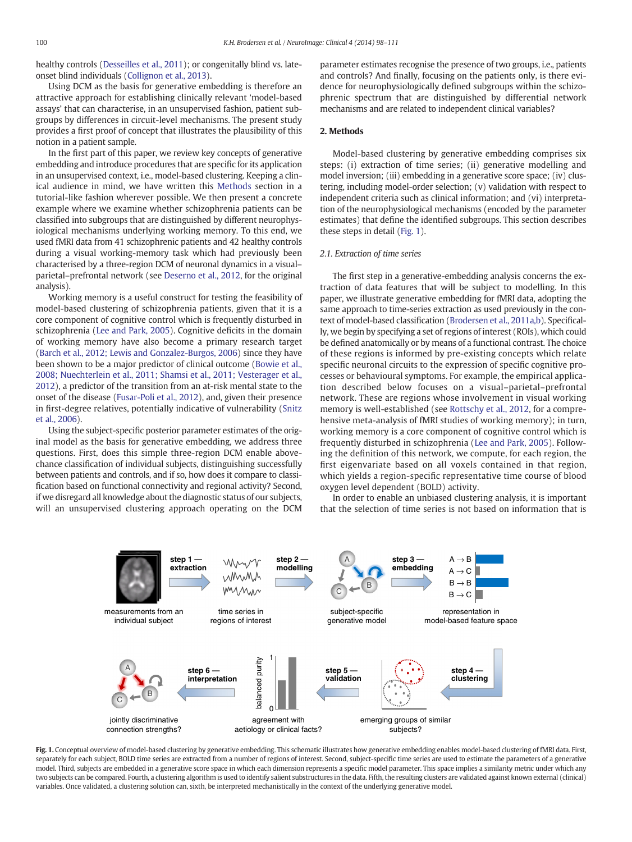<span id="page-2-0"></span>healthy controls [\(Desseilles et al., 2011\)](#page-12-0); or congenitally blind vs. lateonset blind individuals [\(Collignon et al., 2013](#page-11-0)).

Using DCM as the basis for generative embedding is therefore an attractive approach for establishing clinically relevant 'model-based assays' that can characterise, in an unsupervised fashion, patient subgroups by differences in circuit-level mechanisms. The present study provides a first proof of concept that illustrates the plausibility of this notion in a patient sample.

In the first part of this paper, we review key concepts of generative embedding and introduce procedures that are specific for its application in an unsupervised context, i.e., model-based clustering. Keeping a clinical audience in mind, we have written this Methods section in a tutorial-like fashion wherever possible. We then present a concrete example where we examine whether schizophrenia patients can be classified into subgroups that are distinguished by different neurophysiological mechanisms underlying working memory. To this end, we used fMRI data from 41 schizophrenic patients and 42 healthy controls during a visual working-memory task which had previously been characterised by a three-region DCM of neuronal dynamics in a visual– parietal–prefrontal network (see [Deserno et al., 2012](#page-12-0), for the original analysis).

Working memory is a useful construct for testing the feasibility of model-based clustering of schizophrenia patients, given that it is a core component of cognitive control which is frequently disturbed in schizophrenia ([Lee and Park, 2005](#page-12-0)). Cognitive deficits in the domain of working memory have also become a primary research target [\(Barch et al., 2012; Lewis and Gonzalez-Burgos, 2006\)](#page-11-0) since they have been shown to be a major predictor of clinical outcome ([Bowie et al.,](#page-11-0) [2008; Nuechterlein et al., 2011; Shamsi et al., 2011; Vesterager et al.,](#page-11-0) [2012\)](#page-11-0), a predictor of the transition from an at-risk mental state to the onset of the disease [\(Fusar-Poli et al., 2012\)](#page-12-0), and, given their presence in first-degree relatives, potentially indicative of vulnerability ([Snitz](#page-13-0) [et al., 2006](#page-13-0)).

Using the subject-specific posterior parameter estimates of the original model as the basis for generative embedding, we address three questions. First, does this simple three-region DCM enable abovechance classification of individual subjects, distinguishing successfully between patients and controls, and if so, how does it compare to classification based on functional connectivity and regional activity? Second, if we disregard all knowledge about the diagnostic status of our subjects, will an unsupervised clustering approach operating on the DCM parameter estimates recognise the presence of two groups, i.e., patients and controls? And finally, focusing on the patients only, is there evidence for neurophysiologically defined subgroups within the schizophrenic spectrum that are distinguished by differential network mechanisms and are related to independent clinical variables?

### 2. Methods

Model-based clustering by generative embedding comprises six steps: (i) extraction of time series; (ii) generative modelling and model inversion; (iii) embedding in a generative score space; (iv) clustering, including model-order selection; (v) validation with respect to independent criteria such as clinical information; and (vi) interpretation of the neurophysiological mechanisms (encoded by the parameter estimates) that define the identified subgroups. This section describes these steps in detail (Fig. 1).

#### 2.1. Extraction of time series

The first step in a generative-embedding analysis concerns the extraction of data features that will be subject to modelling. In this paper, we illustrate generative embedding for fMRI data, adopting the same approach to time-series extraction as used previously in the context of model-based classification [\(Brodersen et al., 2011a,b\)](#page-11-0). Specifically, we begin by specifying a set of regions of interest (ROIs), which could be defined anatomically or by means of a functional contrast. The choice of these regions is informed by pre-existing concepts which relate specific neuronal circuits to the expression of specific cognitive processes or behavioural symptoms. For example, the empirical application described below focuses on a visual–parietal–prefrontal network. These are regions whose involvement in visual working memory is well-established (see [Rottschy et al., 2012,](#page-13-0) for a comprehensive meta-analysis of fMRI studies of working memory); in turn, working memory is a core component of cognitive control which is frequently disturbed in schizophrenia [\(Lee and Park, 2005](#page-12-0)). Following the definition of this network, we compute, for each region, the first eigenvariate based on all voxels contained in that region, which yields a region-specific representative time course of blood oxygen level dependent (BOLD) activity.

In order to enable an unbiased clustering analysis, it is important that the selection of time series is not based on information that is



Fig. 1. Conceptual overview of model-based clustering by generative embedding. This schematic illustrates how generative embedding enables model-based clustering of fMRI data. First, separately for each subject, BOLD time series are extracted from a number of regions of interest. Second, subject-specific time series are used to estimate the parameters of a generative model. Third, subjects are embedded in a generative score space in which each dimension represents a specific model parameter. This space implies a similarity metric under which any two subjects can be compared. Fourth, a clustering algorithm is used to identify salient substructures in the data. Fifth, the resulting clusters are validated against known external (clinical) variables. Once validated, a clustering solution can, sixth, be interpreted mechanistically in the context of the underlying generative model.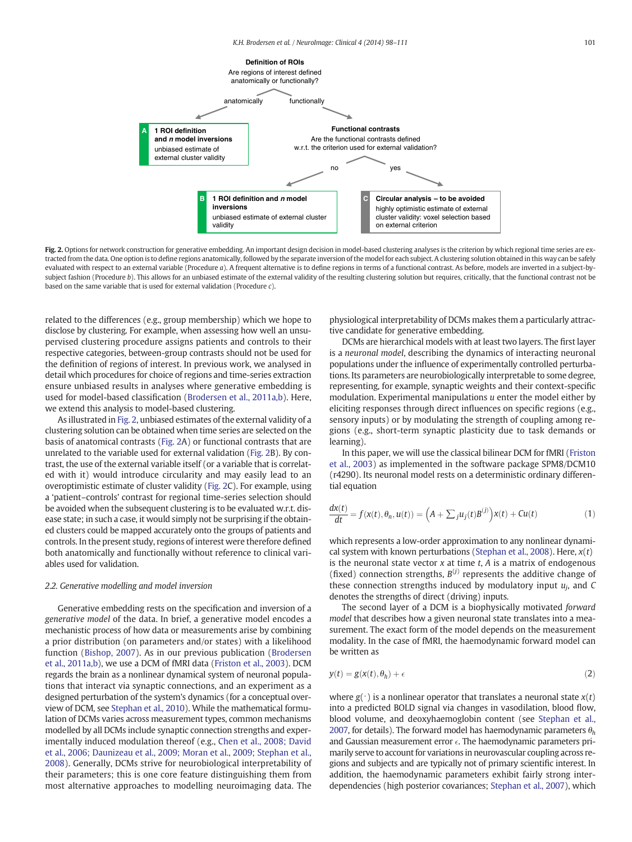<span id="page-3-0"></span>

Fig. 2. Options for network construction for generative embedding. An important design decision in model-based clustering analyses is the criterion by which regional time series are extracted from the data. One option is to define regions anatomically, followed by the separate inversion of the model for each subject. A clustering solution obtained in this way can be safely evaluated with respect to an external variable (Procedure a). A frequent alternative is to define regions in terms of a functional contrast. As before, models are inverted in a subject-bysubject fashion (Procedure b). This allows for an unbiased estimate of the external validity of the resulting clustering solution but requires, critically, that the functional contrast not be based on the same variable that is used for external validation (Procedure  $c$ ).

related to the differences (e.g., group membership) which we hope to disclose by clustering. For example, when assessing how well an unsupervised clustering procedure assigns patients and controls to their respective categories, between-group contrasts should not be used for the definition of regions of interest. In previous work, we analysed in detail which procedures for choice of regions and time-series extraction ensure unbiased results in analyses where generative embedding is used for model-based classification ([Brodersen et al., 2011a,b\)](#page-11-0). Here, we extend this analysis to model-based clustering.

As illustrated in Fig. 2, unbiased estimates of the external validity of a clustering solution can be obtained when time series are selected on the basis of anatomical contrasts (Fig. 2A) or functional contrasts that are unrelated to the variable used for external validation (Fig. 2B). By contrast, the use of the external variable itself (or a variable that is correlated with it) would introduce circularity and may easily lead to an overoptimistic estimate of cluster validity (Fig. 2C). For example, using a 'patient–controls' contrast for regional time-series selection should be avoided when the subsequent clustering is to be evaluated w.r.t. disease state; in such a case, it would simply not be surprising if the obtained clusters could be mapped accurately onto the groups of patients and controls. In the present study, regions of interest were therefore defined both anatomically and functionally without reference to clinical variables used for validation.

#### 2.2. Generative modelling and model inversion

Generative embedding rests on the specification and inversion of a generative model of the data. In brief, a generative model encodes a mechanistic process of how data or measurements arise by combining a prior distribution (on parameters and/or states) with a likelihood function ([Bishop, 2007\)](#page-11-0). As in our previous publication [\(Brodersen](#page-11-0) [et al., 2011a,b\)](#page-11-0), we use a DCM of fMRI data [\(Friston et al., 2003\)](#page-12-0). DCM regards the brain as a nonlinear dynamical system of neuronal populations that interact via synaptic connections, and an experiment as a designed perturbation of the system's dynamics (for a conceptual overview of DCM, see [Stephan et al., 2010](#page-13-0)). While the mathematical formulation of DCMs varies across measurement types, common mechanisms modelled by all DCMs include synaptic connection strengths and experimentally induced modulation thereof (e.g., [Chen et al., 2008; David](#page-11-0) [et al., 2006; Daunizeau et al., 2009; Moran et al., 2009; Stephan et al.,](#page-11-0) [2008\)](#page-11-0). Generally, DCMs strive for neurobiological interpretability of their parameters; this is one core feature distinguishing them from most alternative approaches to modelling neuroimaging data. The

physiological interpretability of DCMs makes them a particularly attractive candidate for generative embedding.

DCMs are hierarchical models with at least two layers. The first layer is a neuronal model, describing the dynamics of interacting neuronal populations under the influence of experimentally controlled perturbations. Its parameters are neurobiologically interpretable to some degree, representing, for example, synaptic weights and their context-specific modulation. Experimental manipulations u enter the model either by eliciting responses through direct influences on specific regions (e.g., sensory inputs) or by modulating the strength of coupling among regions (e.g., short-term synaptic plasticity due to task demands or learning).

In this paper, we will use the classical bilinear DCM for fMRI [\(Friston](#page-12-0) [et al., 2003](#page-12-0)) as implemented in the software package SPM8/DCM10 (r4290). Its neuronal model rests on a deterministic ordinary differential equation

$$
\frac{d\mathbf{x}(t)}{dt} = f(\mathbf{x}(t), \theta_n, u(t)) = \left(A + \sum_j u_j(t)B^{(j)}\right)\mathbf{x}(t) + Cu(t) \tag{1}
$$

which represents a low-order approximation to any nonlinear dynami-cal system with known perturbations [\(Stephan et al., 2008\)](#page-13-0). Here,  $x(t)$ is the neuronal state vector  $x$  at time  $t$ ,  $A$  is a matrix of endogenous (fixed) connection strengths,  $B^{(j)}$  represents the additive change of these connection strengths induced by modulatory input  $u_i$ , and C denotes the strengths of direct (driving) inputs.

The second layer of a DCM is a biophysically motivated forward model that describes how a given neuronal state translates into a measurement. The exact form of the model depends on the measurement modality. In the case of fMRI, the haemodynamic forward model can be written as

$$
y(t) = g(x(t), \theta_h) + \epsilon \tag{2}
$$

where  $g(\cdot)$  is a nonlinear operator that translates a neuronal state  $x(t)$ into a predicted BOLD signal via changes in vasodilation, blood flow, blood volume, and deoxyhaemoglobin content (see [Stephan et al.,](#page-13-0) [2007](#page-13-0), for details). The forward model has haemodynamic parameters  $\theta_h$ and Gaussian measurement error  $\epsilon$ . The haemodynamic parameters primarily serve to account for variations in neurovascular coupling across regions and subjects and are typically not of primary scientific interest. In addition, the haemodynamic parameters exhibit fairly strong interdependencies (high posterior covariances; [Stephan et al., 2007](#page-13-0)), which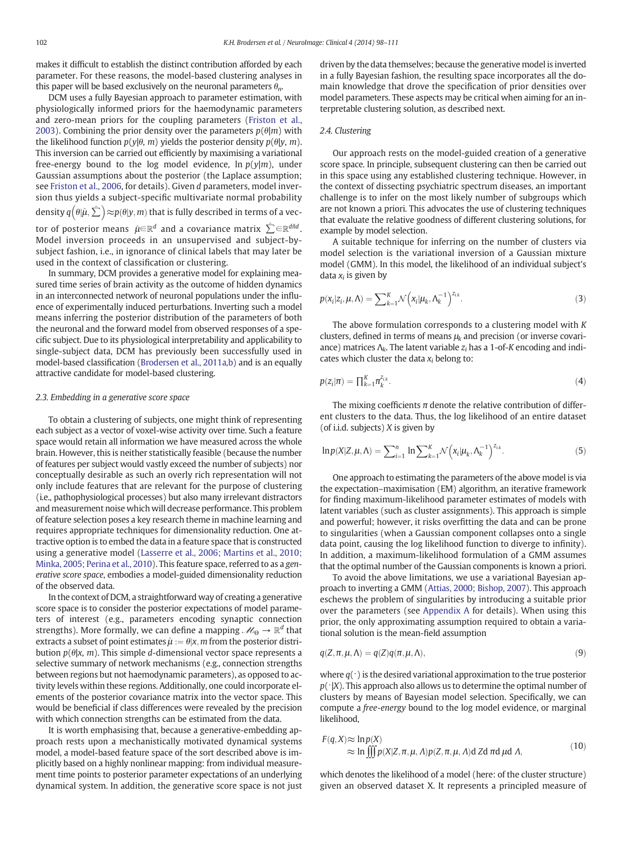makes it difficult to establish the distinct contribution afforded by each parameter. For these reasons, the model-based clustering analyses in this paper will be based exclusively on the neuronal parameters  $\theta_n$ .

DCM uses a fully Bayesian approach to parameter estimation, with physiologically informed priors for the haemodynamic parameters and zero-mean priors for the coupling parameters [\(Friston et al.,](#page-12-0) [2003\)](#page-12-0). Combining the prior density over the parameters  $p(\theta|m)$  with the likelihood function  $p(y|\theta, m)$  yields the posterior density  $p(\theta|y, m)$ . This inversion can be carried out efficiently by maximising a variational free-energy bound to the log model evidence,  $\ln p(y|m)$ , under Gaussian assumptions about the posterior (the Laplace assumption; see [Friston et al., 2006,](#page-12-0) for details). Given d parameters, model inversion thus yields a subject-specific multivariate normal probability density  $q(\theta|\hat{\mu},\hat{\Sigma})\!\approx\!p(\theta|y,m)$  that is fully described in terms of a vector of posterior means  $\hat{\mu} \in \mathbb{R}^d$  and a covariance matrix  $\hat{\sum} \in \mathbb{R}^{d\tilde{n}d}$ . Model inversion proceeds in an unsupervised and subject-bysubject fashion, i.e., in ignorance of clinical labels that may later be

used in the context of classification or clustering. In summary, DCM provides a generative model for explaining measured time series of brain activity as the outcome of hidden dynamics in an interconnected network of neuronal populations under the influence of experimentally induced perturbations. Inverting such a model means inferring the posterior distribution of the parameters of both the neuronal and the forward model from observed responses of a specific subject. Due to its physiological interpretability and applicability to single-subject data, DCM has previously been successfully used in model-based classification ([Brodersen et al., 2011a,b](#page-11-0)) and is an equally attractive candidate for model-based clustering.

#### 2.3. Embedding in a generative score space

To obtain a clustering of subjects, one might think of representing each subject as a vector of voxel-wise activity over time. Such a feature space would retain all information we have measured across the whole brain. However, this is neither statistically feasible (because the number of features per subject would vastly exceed the number of subjects) nor conceptually desirable as such an overly rich representation will not only include features that are relevant for the purpose of clustering (i.e., pathophysiological processes) but also many irrelevant distractors and measurement noise which will decrease performance. This problem of feature selection poses a key research theme in machine learning and requires appropriate techniques for dimensionality reduction. One attractive option is to embed the data in a feature space that is constructed using a generative model ([Lasserre et al., 2006; Martins et al., 2010;](#page-12-0) [Minka, 2005; Perina et al., 2010](#page-12-0)). This feature space, referred to as a generative score space, embodies a model-guided dimensionality reduction of the observed data.

In the context of DCM, a straightforward way of creating a generative score space is to consider the posterior expectations of model parameters of interest (e.g., parameters encoding synaptic connection strengths). More formally, we can define a mapping  $\mathcal{M}_{\Theta} \to \mathbb{R}^d$  that extracts a subset of point estimates  $\hat{\mu} := \theta | x, m$  from the posterior distribution  $p(\theta|x, m)$ . This simple d-dimensional vector space represents a selective summary of network mechanisms (e.g., connection strengths between regions but not haemodynamic parameters), as opposed to activity levels within these regions. Additionally, one could incorporate elements of the posterior covariance matrix into the vector space. This would be beneficial if class differences were revealed by the precision with which connection strengths can be estimated from the data.

It is worth emphasising that, because a generative-embedding approach rests upon a mechanistically motivated dynamical systems model, a model-based feature space of the sort described above is implicitly based on a highly nonlinear mapping: from individual measurement time points to posterior parameter expectations of an underlying dynamical system. In addition, the generative score space is not just driven by the data themselves; because the generative model is inverted in a fully Bayesian fashion, the resulting space incorporates all the domain knowledge that drove the specification of prior densities over model parameters. These aspects may be critical when aiming for an interpretable clustering solution, as described next.

## 2.4. Clustering

Our approach rests on the model-guided creation of a generative score space. In principle, subsequent clustering can then be carried out in this space using any established clustering technique. However, in the context of dissecting psychiatric spectrum diseases, an important challenge is to infer on the most likely number of subgroups which are not known a priori. This advocates the use of clustering techniques that evaluate the relative goodness of different clustering solutions, for example by model selection.

A suitable technique for inferring on the number of clusters via model selection is the variational inversion of a Gaussian mixture model (GMM). In this model, the likelihood of an individual subject's data  $x_i$  is given by

$$
p(x_i|z_i,\mu,\Lambda) = \sum_{k=1}^K \mathcal{N}\left(x_i|\mu_k,\Lambda_k^{-1}\right)^{z_{i,k}}.\tag{3}
$$

The above formulation corresponds to a clustering model with K clusters, defined in terms of means  $\mu_k$  and precision (or inverse covariance) matrices  $\Lambda_k$ . The latent variable  $z_i$  has a 1-of-K encoding and indicates which cluster the data  $x_i$  belong to:

$$
p(z_i|\pi) = \prod_{k=1}^{K} \pi_k^{z_{ik}}.
$$
\n(4)

The mixing coefficients  $\pi$  denote the relative contribution of different clusters to the data. Thus, the log likelihood of an entire dataset (of i.i.d. subjects)  $X$  is given by

$$
\ln p(X|Z,\mu,\Lambda) = \sum_{i=1}^{n} \ln \sum_{k=1}^{K} \mathcal{N}\left(x_i|\mu_k,\Lambda_k^{-1}\right)^{z_{ik}}.\tag{5}
$$

One approach to estimating the parameters of the above model is via the expectation–maximisation (EM) algorithm, an iterative framework for finding maximum-likelihood parameter estimates of models with latent variables (such as cluster assignments). This approach is simple and powerful; however, it risks overfitting the data and can be prone to singularities (when a Gaussian component collapses onto a single data point, causing the log likelihood function to diverge to infinity). In addition, a maximum-likelihood formulation of a GMM assumes that the optimal number of the Gaussian components is known a priori.

To avoid the above limitations, we use a variational Bayesian approach to inverting a GMM [\(Attias, 2000; Bishop, 2007\)](#page-11-0). This approach eschews the problem of singularities by introducing a suitable prior over the parameters (see [Appendix A](#page-11-0) for details). When using this prior, the only approximating assumption required to obtain a variational solution is the mean-field assumption

$$
q(Z, \pi, \mu, \Lambda) = q(Z)q(\pi, \mu, \Lambda), \qquad (9)
$$

where  $q(\cdot)$  is the desired variational approximation to the true posterior  $p(\cdot|X)$ . This approach also allows us to determine the optimal number of clusters by means of Bayesian model selection. Specifically, we can compute a free-energy bound to the log model evidence, or marginal likelihood,

$$
F(q, X) \approx \ln p(X)
$$
  
\n
$$
\approx \ln \iiint p(X|Z, \pi, \mu, \Lambda) p(Z, \pi, \mu, \Lambda) dZ d\pi d\mu d\Lambda,
$$
 (10)

which denotes the likelihood of a model (here: of the cluster structure) given an observed dataset X. It represents a principled measure of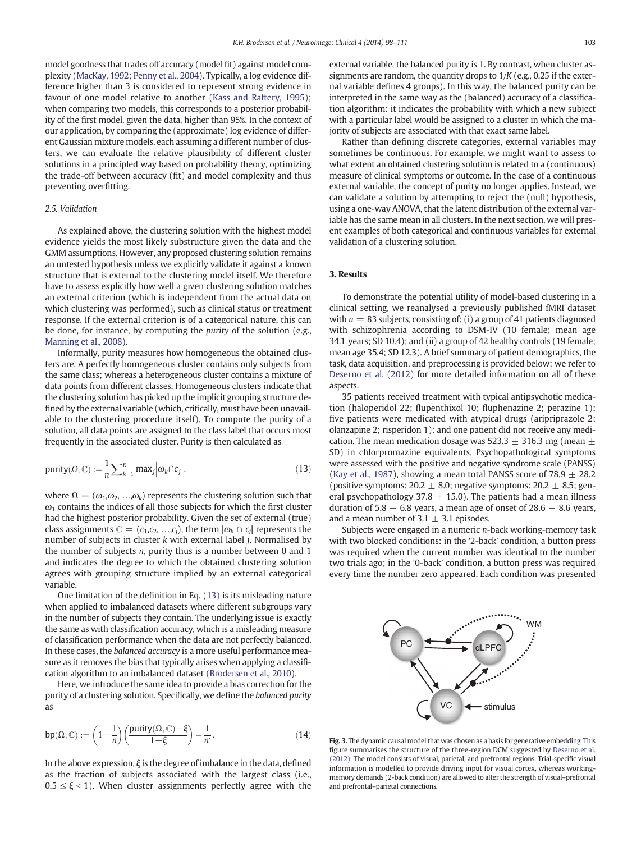<span id="page-5-0"></span>model goodness that trades off accuracy (model fit) against model complexity [\(MacKay, 1992; Penny et al., 2004\)](#page-12-0). Typically, a log evidence difference higher than 3 is considered to represent strong evidence in favour of one model relative to another ([Kass and Raftery, 1995](#page-12-0)); when comparing two models, this corresponds to a posterior probability of the first model, given the data, higher than 95%. In the context of our application, by comparing the (approximate) log evidence of different Gaussian mixture models, each assuming a different number of clusters, we can evaluate the relative plausibility of different cluster solutions in a principled way based on probability theory, optimizing the trade-off between accuracy (fit) and model complexity and thus preventing overfitting.

# 2.5. Validation

As explained above, the clustering solution with the highest model evidence yields the most likely substructure given the data and the GMM assumptions. However, any proposed clustering solution remains an untested hypothesis unless we explicitly validate it against a known structure that is external to the clustering model itself. We therefore have to assess explicitly how well a given clustering solution matches an external criterion (which is independent from the actual data on which clustering was performed), such as clinical status or treatment response. If the external criterion is of a categorical nature, this can be done, for instance, by computing the purity of the solution (e.g., [Manning et al., 2008\)](#page-12-0).

Informally, purity measures how homogeneous the obtained clusters are. A perfectly homogeneous cluster contains only subjects from the same class; whereas a heterogeneous cluster contains a mixture of data points from different classes. Homogeneous clusters indicate that the clustering solution has picked up the implicit grouping structure defined by the external variable (which, critically, must have been unavailable to the clustering procedure itself). To compute the purity of a solution, all data points are assigned to the class label that occurs most frequently in the associated cluster. Purity is then calculated as

$$
\text{purity}(\Omega, \mathbb{C}) := \frac{1}{n} \sum_{k=1}^{K} \max_{j} \left| \omega_k \cap c_j \right|,\tag{13}
$$

where  $\Omega = (\omega_1, \omega_2, ..., \omega_k)$  represents the clustering solution such that  $\omega_1$  contains the indices of all those subjects for which the first cluster had the highest posterior probability. Given the set of external (true) class assignments  $\mathbb{C} = (c_1, c_2, ..., c_j)$ , the term  $|\omega_k \cap c_j|$  represents the number of subjects in cluster k with external label j. Normalised by the number of subjects n, purity thus is a number between 0 and 1 and indicates the degree to which the obtained clustering solution agrees with grouping structure implied by an external categorical variable.

One limitation of the definition in Eq. (13) is its misleading nature when applied to imbalanced datasets where different subgroups vary in the number of subjects they contain. The underlying issue is exactly the same as with classification accuracy, which is a misleading measure of classification performance when the data are not perfectly balanced. In these cases, the balanced accuracy is a more useful performance measure as it removes the bias that typically arises when applying a classification algorithm to an imbalanced dataset ([Brodersen et al., 2010](#page-11-0)).

Here, we introduce the same idea to provide a bias correction for the purity of a clustering solution. Specifically, we define the balanced purity as

$$
\text{bp}(\Omega, \mathbb{C}) := \left(1 - \frac{1}{n}\right) \left(\frac{\text{purity}(\Omega, \mathbb{C}) - \xi}{1 - \xi}\right) + \frac{1}{n}.
$$
 (14)

In the above expression,  $\xi$  is the degree of imbalance in the data, defined as the fraction of subjects associated with the largest class (i.e.,  $0.5 \le \xi < 1$ ). When cluster assignments perfectly agree with the external variable, the balanced purity is 1. By contrast, when cluster assignments are random, the quantity drops to  $1/K$  (e.g., 0.25 if the external variable defines 4 groups). In this way, the balanced purity can be interpreted in the same way as the (balanced) accuracy of a classification algorithm: it indicates the probability with which a new subject with a particular label would be assigned to a cluster in which the majority of subjects are associated with that exact same label.

Rather than defining discrete categories, external variables may sometimes be continuous. For example, we might want to assess to what extent an obtained clustering solution is related to a (continuous) measure of clinical symptoms or outcome. In the case of a continuous external variable, the concept of purity no longer applies. Instead, we can validate a solution by attempting to reject the (null) hypothesis, using a one-way ANOVA, that the latent distribution of the external variable has the same mean in all clusters. In the next section, we will present examples of both categorical and continuous variables for external validation of a clustering solution.

### 3. Results

To demonstrate the potential utility of model-based clustering in a clinical setting, we reanalysed a previously published fMRI dataset with  $n = 83$  subjects, consisting of: (i) a group of 41 patients diagnosed with schizophrenia according to DSM-IV (10 female; mean age 34.1 years; SD 10.4); and (ii) a group of 42 healthy controls (19 female; mean age 35.4; SD 12.3). A brief summary of patient demographics, the task, data acquisition, and preprocessing is provided below; we refer to [Deserno et al. \(2012\)](#page-12-0) for more detailed information on all of these aspects.

35 patients received treatment with typical antipsychotic medication (haloperidol 22; flupenthixol 10; fluphenazine 2; perazine 1); five patients were medicated with atypical drugs (aripriprazole 2; olanzapine 2; risperidon 1); and one patient did not receive any medication. The mean medication dosage was 523.3  $\pm$  316.3 mg (mean  $\pm$ SD) in chlorpromazine equivalents. Psychopathological symptoms were assessed with the positive and negative syndrome scale (PANSS) [\(Kay et al., 1987](#page-12-0)), showing a mean total PANSS score of 78.9  $\pm$  28.2 (positive symptoms:  $20.2 \pm 8.0$ ; negative symptoms:  $20.2 \pm 8.5$ ; general psychopathology 37.8  $\pm$  15.0). The patients had a mean illness duration of 5.8  $\pm$  6.8 years, a mean age of onset of 28.6  $\pm$  8.6 years, and a mean number of 3.1  $\pm$  3.1 episodes.

Subjects were engaged in a numeric n-back working-memory task with two blocked conditions: in the '2-back' condition, a button press was required when the current number was identical to the number two trials ago; in the '0-back' condition, a button press was required every time the number zero appeared. Each condition was presented



Fig. 3. The dynamic causal model that was chosen as a basis for generative embedding. This figure summarises the structure of the three-region DCM suggested by [Deserno et al.](#page-12-0) [\(2012\)](#page-12-0). The model consists of visual, parietal, and prefrontal regions. Trial-specific visual information is modelled to provide driving input for visual cortex, whereas workingmemory demands (2-back condition) are allowed to alter the strength of visual–prefrontal and prefrontal–parietal connections.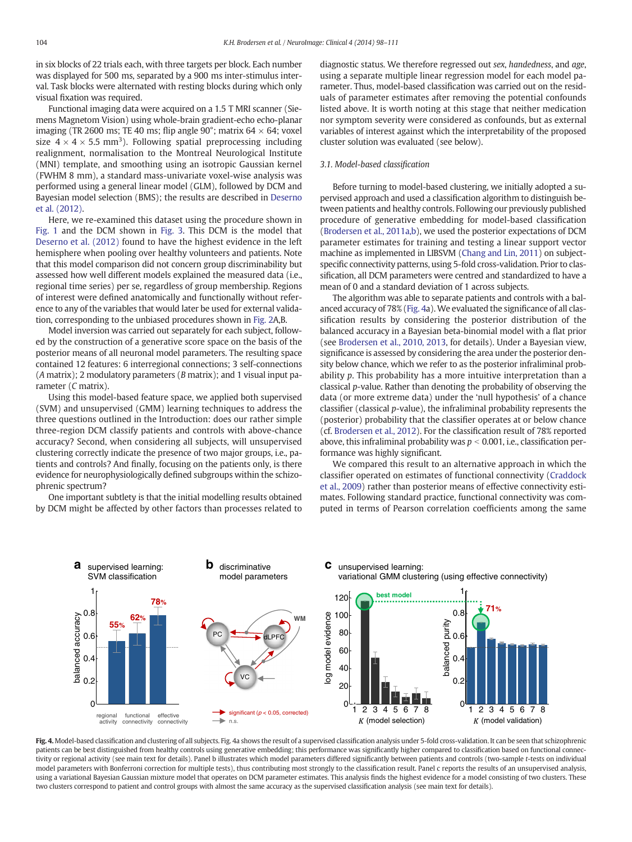<span id="page-6-0"></span>in six blocks of 22 trials each, with three targets per block. Each number was displayed for 500 ms, separated by a 900 ms inter-stimulus interval. Task blocks were alternated with resting blocks during which only visual fixation was required.

Functional imaging data were acquired on a 1.5 T MRI scanner (Siemens Magnetom Vision) using whole-brain gradient-echo echo-planar imaging (TR 2600 ms; TE 40 ms; flip angle 90°; matrix 64  $\times$  64; voxel size  $4 \times 4 \times 5.5$  mm<sup>3</sup>). Following spatial preprocessing including realignment, normalisation to the Montreal Neurological Institute (MNI) template, and smoothing using an isotropic Gaussian kernel (FWHM 8 mm), a standard mass-univariate voxel-wise analysis was performed using a general linear model (GLM), followed by DCM and Bayesian model selection (BMS); the results are described in [Deserno](#page-12-0) [et al. \(2012\)](#page-12-0).

Here, we re-examined this dataset using the procedure shown in [Fig. 1](#page-2-0) and the DCM shown in [Fig. 3](#page-5-0). This DCM is the model that [Deserno et al. \(2012\)](#page-12-0) found to have the highest evidence in the left hemisphere when pooling over healthy volunteers and patients. Note that this model comparison did not concern group discriminability but assessed how well different models explained the measured data (i.e., regional time series) per se, regardless of group membership. Regions of interest were defined anatomically and functionally without reference to any of the variables that would later be used for external validation, corresponding to the unbiased procedures shown in [Fig. 2](#page-3-0)A,B.

Model inversion was carried out separately for each subject, followed by the construction of a generative score space on the basis of the posterior means of all neuronal model parameters. The resulting space contained 12 features: 6 interregional connections; 3 self-connections (A matrix); 2 modulatory parameters (B matrix); and 1 visual input parameter (C matrix).

Using this model-based feature space, we applied both supervised (SVM) and unsupervised (GMM) learning techniques to address the three questions outlined in the Introduction: does our rather simple three-region DCM classify patients and controls with above-chance accuracy? Second, when considering all subjects, will unsupervised clustering correctly indicate the presence of two major groups, i.e., patients and controls? And finally, focusing on the patients only, is there evidence for neurophysiologically defined subgroups within the schizophrenic spectrum?

One important subtlety is that the initial modelling results obtained by DCM might be affected by other factors than processes related to diagnostic status. We therefore regressed out sex, handedness, and age, using a separate multiple linear regression model for each model parameter. Thus, model-based classification was carried out on the residuals of parameter estimates after removing the potential confounds listed above. It is worth noting at this stage that neither medication nor symptom severity were considered as confounds, but as external variables of interest against which the interpretability of the proposed cluster solution was evaluated (see below).

### 3.1. Model-based classification

Before turning to model-based clustering, we initially adopted a supervised approach and used a classification algorithm to distinguish between patients and healthy controls. Following our previously published procedure of generative embedding for model-based classification [\(Brodersen et al., 2011a,b](#page-11-0)), we used the posterior expectations of DCM parameter estimates for training and testing a linear support vector machine as implemented in LIBSVM [\(Chang and Lin, 2011\)](#page-11-0) on subjectspecific connectivity patterns, using 5-fold cross-validation. Prior to classification, all DCM parameters were centred and standardized to have a mean of 0 and a standard deviation of 1 across subjects.

The algorithm was able to separate patients and controls with a balanced accuracy of 78% (Fig. 4a).We evaluated the significance of all classification results by considering the posterior distribution of the balanced accuracy in a Bayesian beta-binomial model with a flat prior (see [Brodersen et al., 2010, 2013](#page-11-0), for details). Under a Bayesian view, significance is assessed by considering the area under the posterior density below chance, which we refer to as the posterior infraliminal probability  $p$ . This probability has a more intuitive interpretation than a classical p-value. Rather than denoting the probability of observing the data (or more extreme data) under the 'null hypothesis' of a chance classifier (classical p-value), the infraliminal probability represents the (posterior) probability that the classifier operates at or below chance (cf. [Brodersen et al., 2012](#page-11-0)). For the classification result of 78% reported above, this infraliminal probability was  $p < 0.001$ , i.e., classification performance was highly significant.

We compared this result to an alternative approach in which the classifier operated on estimates of functional connectivity ([Craddock](#page-11-0) [et al., 2009\)](#page-11-0) rather than posterior means of effective connectivity estimates. Following standard practice, functional connectivity was computed in terms of Pearson correlation coefficients among the same



Fig. 4. Model-based classification and clustering of all subjects. Fig. 4a shows the result of a supervised classification analysis under 5-fold cross-validation. It can be seen that schizophrenic patients can be best distinguished from healthy controls using generative embedding; this performance was significantly higher compared to classification based on functional connectivity or regional activity (see main text for details). Panel b illustrates which model parameters differed significantly between patients and controls (two-sample t-tests on individual model parameters with Bonferroni correction for multiple tests), thus contributing most strongly to the classification result. Panel c reports the results of an unsupervised analysis, using a variational Bayesian Gaussian mixture model that operates on DCM parameter estimates. This analysis finds the highest evidence for a model consisting of two clusters. These two clusters correspond to patient and control groups with almost the same accuracy as the supervised classification analysis (see main text for details).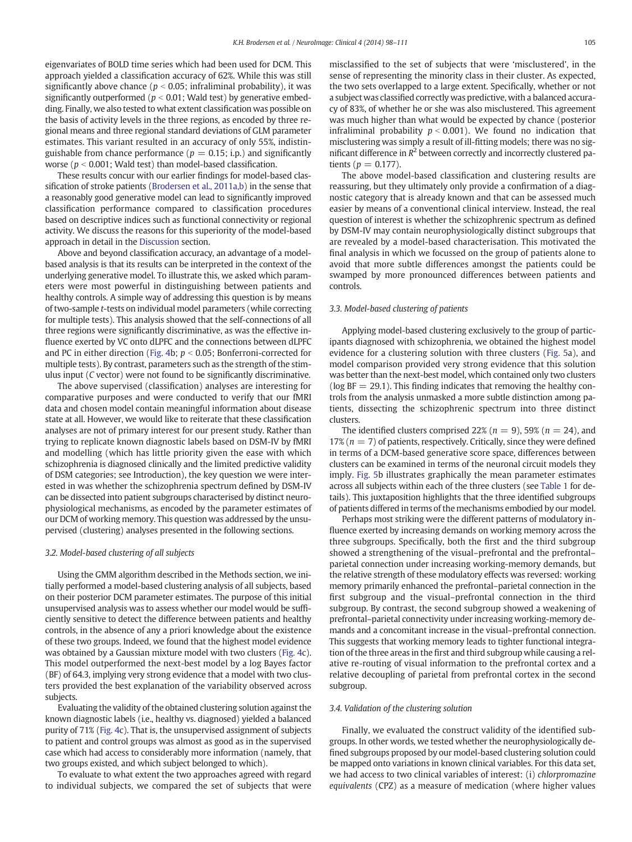eigenvariates of BOLD time series which had been used for DCM. This approach yielded a classification accuracy of 62%. While this was still significantly above chance ( $p < 0.05$ ; infraliminal probability), it was significantly outperformed ( $p < 0.01$ ; Wald test) by generative embedding. Finally, we also tested to what extent classification was possible on the basis of activity levels in the three regions, as encoded by three regional means and three regional standard deviations of GLM parameter estimates. This variant resulted in an accuracy of only 55%, indistinguishable from chance performance ( $p = 0.15$ ; i.p.) and significantly worse ( $p < 0.001$ ; Wald test) than model-based classification.

These results concur with our earlier findings for model-based classification of stroke patients [\(Brodersen et al., 2011a,b\)](#page-11-0) in the sense that a reasonably good generative model can lead to significantly improved classification performance compared to classification procedures based on descriptive indices such as functional connectivity or regional activity. We discuss the reasons for this superiority of the model-based approach in detail in the [Discussion](#page-9-0) section.

Above and beyond classification accuracy, an advantage of a modelbased analysis is that its results can be interpreted in the context of the underlying generative model. To illustrate this, we asked which parameters were most powerful in distinguishing between patients and healthy controls. A simple way of addressing this question is by means of two-sample t-tests on individual model parameters (while correcting for multiple tests). This analysis showed that the self-connections of all three regions were significantly discriminative, as was the effective influence exerted by VC onto dLPFC and the connections between dLPFC and PC in either direction [\(Fig. 4b](#page-6-0);  $p < 0.05$ ; Bonferroni-corrected for multiple tests). By contrast, parameters such as the strength of the stimulus input (C vector) were not found to be significantly discriminative.

The above supervised (classification) analyses are interesting for comparative purposes and were conducted to verify that our fMRI data and chosen model contain meaningful information about disease state at all. However, we would like to reiterate that these classification analyses are not of primary interest for our present study. Rather than trying to replicate known diagnostic labels based on DSM-IV by fMRI and modelling (which has little priority given the ease with which schizophrenia is diagnosed clinically and the limited predictive validity of DSM categories; see Introduction), the key question we were interested in was whether the schizophrenia spectrum defined by DSM-IV can be dissected into patient subgroups characterised by distinct neurophysiological mechanisms, as encoded by the parameter estimates of our DCM of working memory. This question was addressed by the unsupervised (clustering) analyses presented in the following sections.

#### 3.2. Model-based clustering of all subjects

Using the GMM algorithm described in the Methods section, we initially performed a model-based clustering analysis of all subjects, based on their posterior DCM parameter estimates. The purpose of this initial unsupervised analysis was to assess whether our model would be sufficiently sensitive to detect the difference between patients and healthy controls, in the absence of any a priori knowledge about the existence of these two groups. Indeed, we found that the highest model evidence was obtained by a Gaussian mixture model with two clusters [\(Fig. 4c](#page-6-0)). This model outperformed the next-best model by a log Bayes factor (BF) of 64.3, implying very strong evidence that a model with two clusters provided the best explanation of the variability observed across subjects.

Evaluating the validity of the obtained clustering solution against the known diagnostic labels (i.e., healthy vs. diagnosed) yielded a balanced purity of 71% [\(Fig. 4c](#page-6-0)). That is, the unsupervised assignment of subjects to patient and control groups was almost as good as in the supervised case which had access to considerably more information (namely, that two groups existed, and which subject belonged to which).

To evaluate to what extent the two approaches agreed with regard to individual subjects, we compared the set of subjects that were misclassified to the set of subjects that were 'misclustered', in the sense of representing the minority class in their cluster. As expected, the two sets overlapped to a large extent. Specifically, whether or not a subject was classified correctly was predictive, with a balanced accuracy of 83%, of whether he or she was also misclustered. This agreement was much higher than what would be expected by chance (posterior infraliminal probability  $p < 0.001$ ). We found no indication that misclustering was simply a result of ill-fitting models; there was no significant difference in  $R^2$  between correctly and incorrectly clustered patients ( $p = 0.177$ ).

The above model-based classification and clustering results are reassuring, but they ultimately only provide a confirmation of a diagnostic category that is already known and that can be assessed much easier by means of a conventional clinical interview. Instead, the real question of interest is whether the schizophrenic spectrum as defined by DSM-IV may contain neurophysiologically distinct subgroups that are revealed by a model-based characterisation. This motivated the final analysis in which we focussed on the group of patients alone to avoid that more subtle differences amongst the patients could be swamped by more pronounced differences between patients and controls.

#### 3.3. Model-based clustering of patients

Applying model-based clustering exclusively to the group of participants diagnosed with schizophrenia, we obtained the highest model evidence for a clustering solution with three clusters [\(Fig. 5](#page-8-0)a), and model comparison provided very strong evidence that this solution was better than the next-best model, which contained only two clusters ( $log BF = 29.1$ ). This finding indicates that removing the healthy controls from the analysis unmasked a more subtle distinction among patients, dissecting the schizophrenic spectrum into three distinct clusters.

The identified clusters comprised 22% ( $n = 9$ ), 59% ( $n = 24$ ), and 17% ( $n = 7$ ) of patients, respectively. Critically, since they were defined in terms of a DCM-based generative score space, differences between clusters can be examined in terms of the neuronal circuit models they imply. [Fig. 5b](#page-8-0) illustrates graphically the mean parameter estimates across all subjects within each of the three clusters (see [Table 1](#page-8-0) for details). This juxtaposition highlights that the three identified subgroups of patients differed in terms of the mechanisms embodied by our model.

Perhaps most striking were the different patterns of modulatory influence exerted by increasing demands on working memory across the three subgroups. Specifically, both the first and the third subgroup showed a strengthening of the visual–prefrontal and the prefrontal– parietal connection under increasing working-memory demands, but the relative strength of these modulatory effects was reversed: working memory primarily enhanced the prefrontal–parietal connection in the first subgroup and the visual–prefrontal connection in the third subgroup. By contrast, the second subgroup showed a weakening of prefrontal–parietal connectivity under increasing working-memory demands and a concomitant increase in the visual–prefrontal connection. This suggests that working memory leads to tighter functional integration of the three areas in the first and third subgroup while causing a relative re-routing of visual information to the prefrontal cortex and a relative decoupling of parietal from prefrontal cortex in the second subgroup.

#### 3.4. Validation of the clustering solution

Finally, we evaluated the construct validity of the identified subgroups. In other words, we tested whether the neurophysiologically defined subgroups proposed by our model-based clustering solution could be mapped onto variations in known clinical variables. For this data set, we had access to two clinical variables of interest: (i) chlorpromazine equivalents (CPZ) as a measure of medication (where higher values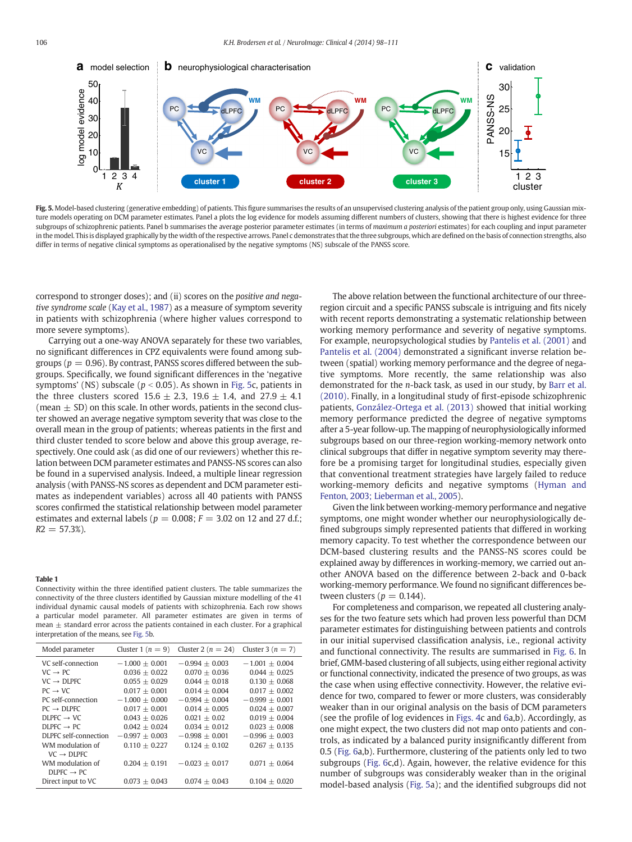<span id="page-8-0"></span>

Fig. 5. Model-based clustering (generative embedding) of patients. This figure summarises the results of an unsupervised clustering analysis of the patient group only, using Gaussian mixture models operating on DCM parameter estimates. Panel a plots the log evidence for models assuming different numbers of clusters, showing that there is highest evidence for three subgroups of schizophrenic patients. Panel b summarises the average posterior parameter estimates (in terms of maximum a posteriori estimates) for each coupling and input parameter in the model. This is displayed graphically by the width of the respective arrows. Panel c demonstrates that the three subgroups, which are defined on the basis of connection strengths, also differ in terms of negative clinical symptoms as operationalised by the negative symptoms (NS) subscale of the PANSS score.

correspond to stronger doses); and (ii) scores on the positive and negative syndrome scale ([Kay et al., 1987](#page-12-0)) as a measure of symptom severity in patients with schizophrenia (where higher values correspond to more severe symptoms).

Carrying out a one-way ANOVA separately for these two variables, no significant differences in CPZ equivalents were found among subgroups ( $p = 0.96$ ). By contrast, PANSS scores differed between the subgroups. Specifically, we found significant differences in the 'negative symptoms' (NS) subscale ( $p < 0.05$ ). As shown in Fig. 5c, patients in the three clusters scored  $15.6 \pm 2.3$ ,  $19.6 \pm 1.4$ , and  $27.9 \pm 4.1$ (mean  $\pm$  SD) on this scale. In other words, patients in the second cluster showed an average negative symptom severity that was close to the overall mean in the group of patients; whereas patients in the first and third cluster tended to score below and above this group average, respectively. One could ask (as did one of our reviewers) whether this relation between DCM parameter estimates and PANSS-NS scores can also be found in a supervised analysis. Indeed, a multiple linear regression analysis (with PANSS-NS scores as dependent and DCM parameter estimates as independent variables) across all 40 patients with PANSS scores confirmed the statistical relationship between model parameter estimates and external labels ( $p = 0.008$ ;  $F = 3.02$  on 12 and 27 d.f.;  $R2 = 57.3\%$ ).

#### Table 1

Connectivity within the three identified patient clusters. The table summarizes the connectivity of the three clusters identified by Gaussian mixture modelling of the 41 individual dynamic causal models of patients with schizophrenia. Each row shows a particular model parameter. All parameter estimates are given in terms of mean  $\pm$  standard error across the patients contained in each cluster. For a graphical interpretation of the means, see Fig. 5b.

| Model parameter           | Cluster 1 $(n = 9)$ | Cluster 2 ( $n = 24$ ) | Cluster 3 $(n = 7)$ |
|---------------------------|---------------------|------------------------|---------------------|
| VC self-connection        | $-1.000 + 0.001$    | $-0.994 + 0.003$       | $-1.001 \pm 0.004$  |
| $VC \rightarrow PC$       | $0.036 + 0.022$     | $0.070 + 0.036$        | $0.044 + 0.025$     |
| $VC \rightarrow DIPFC$    | $0.055 + 0.029$     | $0.044 + 0.018$        | $0.130 + 0.068$     |
| $PC \rightarrow VC$       | $0.017 + 0.001$     | $0.014 + 0.004$        | $0.017 + 0.002$     |
| PC self-connection        | $-1.000 + 0.000$    | $-0.994 + 0.004$       | $-0.999 + 0.001$    |
| $PC \rightarrow DLPFC$    | $0.017 + 0.001$     | $0.014 + 0.005$        | $0.024 + 0.007$     |
| $DI.PFC \rightarrow VC$   | $0.043 + 0.026$     | $0.021 + 0.02$         | $0.019 + 0.004$     |
| $DI.PFC \rightarrow PC$   | $0.042 + 0.024$     | $0.034 + 0.012$        | $0.023 + 0.008$     |
| DLPFC self-connection     | $-0.997 + 0.003$    | $-0.998 + 0.001$       | $-0.996 + 0.003$    |
| WM modulation of          | $0.110 + 0.227$     | $0.124 + 0.102$        | $0.267 + 0.135$     |
| $VC \rightarrow DLPFC$    |                     |                        |                     |
| WM modulation of          | $0.204 + 0.191$     | $-0.023 + 0.017$       | $0.071 + 0.064$     |
| $DI$ PFC $\rightarrow$ PC |                     |                        |                     |
| Direct input to VC        | $0.073 + 0.043$     | $0.074 + 0.043$        | $0.104 + 0.020$     |

The above relation between the functional architecture of our threeregion circuit and a specific PANSS subscale is intriguing and fits nicely with recent reports demonstrating a systematic relationship between working memory performance and severity of negative symptoms. For example, neuropsychological studies by [Pantelis et al. \(2001\)](#page-12-0) and [Pantelis et al. \(2004\)](#page-12-0) demonstrated a significant inverse relation between (spatial) working memory performance and the degree of negative symptoms. More recently, the same relationship was also demonstrated for the n-back task, as used in our study, by [Barr et al.](#page-11-0) [\(2010\)](#page-11-0). Finally, in a longitudinal study of first-episode schizophrenic patients, [González-Ortega et al. \(2013\)](#page-12-0) showed that initial working memory performance predicted the degree of negative symptoms after a 5-year follow-up. The mapping of neurophysiologically informed subgroups based on our three-region working-memory network onto clinical subgroups that differ in negative symptom severity may therefore be a promising target for longitudinal studies, especially given that conventional treatment strategies have largely failed to reduce working-memory deficits and negative symptoms [\(Hyman and](#page-12-0) [Fenton, 2003; Lieberman et al., 2005](#page-12-0)).

Given the link between working-memory performance and negative symptoms, one might wonder whether our neurophysiologically defined subgroups simply represented patients that differed in working memory capacity. To test whether the correspondence between our DCM-based clustering results and the PANSS-NS scores could be explained away by differences in working-memory, we carried out another ANOVA based on the difference between 2-back and 0-back working-memory performance. We found no significant differences between clusters ( $p = 0.144$ ).

For completeness and comparison, we repeated all clustering analyses for the two feature sets which had proven less powerful than DCM parameter estimates for distinguishing between patients and controls in our initial supervised classification analysis, i.e., regional activity and functional connectivity. The results are summarised in [Fig. 6](#page-9-0). In brief, GMM-based clustering of all subjects, using either regional activity or functional connectivity, indicated the presence of two groups, as was the case when using effective connectivity. However, the relative evidence for two, compared to fewer or more clusters, was considerably weaker than in our original analysis on the basis of DCM parameters (see the profile of log evidences in [Figs. 4](#page-6-0)c and [6a](#page-9-0),b). Accordingly, as one might expect, the two clusters did not map onto patients and controls, as indicated by a balanced purity insignificantly different from 0.5 [\(Fig. 6](#page-9-0)a,b). Furthermore, clustering of the patients only led to two subgroups ([Fig. 6c](#page-9-0),d). Again, however, the relative evidence for this number of subgroups was considerably weaker than in the original model-based analysis (Fig. 5a); and the identified subgroups did not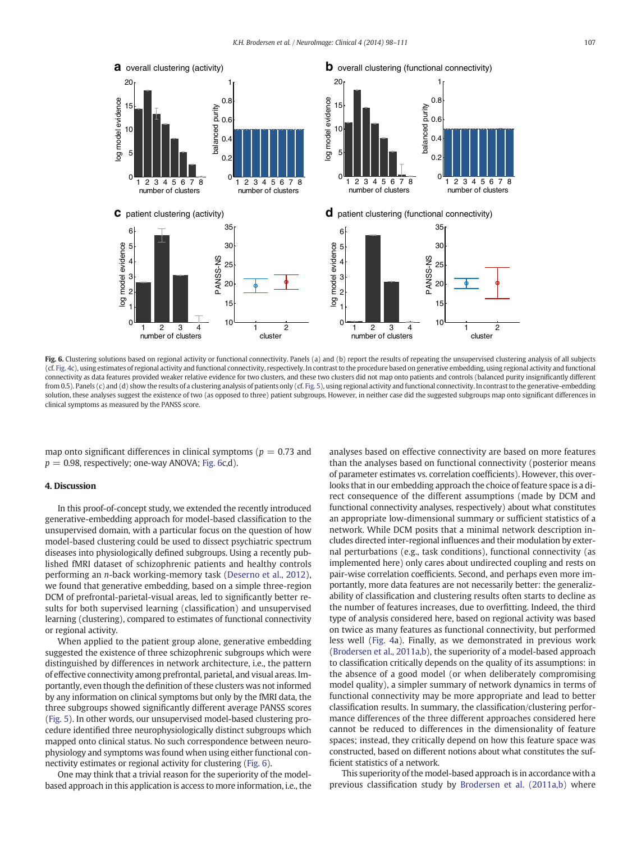<span id="page-9-0"></span>

Fig. 6. Clustering solutions based on regional activity or functional connectivity. Panels (a) and (b) report the results of repeating the unsupervised clustering analysis of all subjects (cf. [Fig. 4](#page-6-0)c), using estimates of regional activity and functional connectivity, respectively. In contrast to the procedure based on generative embedding, using regional activity and functional connectivity as data features provided weaker relative evidence for two clusters, and these two clusters did not map onto patients and controls (balanced purity insignificantly different from 0.5). Panels (c) and (d) show the results of a clustering analysis of patients only (cf. [Fig. 5\)](#page-8-0), using regional activity and functional connectivity. In contrast to the generative-embedding solution, these analyses suggest the existence of two (as opposed to three) patient subgroups. However, in neither case did the suggested subgroups map onto significant differences in clinical symptoms as measured by the PANSS score.

map onto significant differences in clinical symptoms ( $p = 0.73$  and  $p = 0.98$ , respectively; one-way ANOVA; Fig. 6c,d).

#### 4. Discussion

In this proof-of-concept study, we extended the recently introduced generative-embedding approach for model-based classification to the unsupervised domain, with a particular focus on the question of how model-based clustering could be used to dissect psychiatric spectrum diseases into physiologically defined subgroups. Using a recently published fMRI dataset of schizophrenic patients and healthy controls performing an n-back working-memory task [\(Deserno et al., 2012](#page-12-0)), we found that generative embedding, based on a simple three-region DCM of prefrontal-parietal-visual areas, led to significantly better results for both supervised learning (classification) and unsupervised learning (clustering), compared to estimates of functional connectivity or regional activity.

When applied to the patient group alone, generative embedding suggested the existence of three schizophrenic subgroups which were distinguished by differences in network architecture, i.e., the pattern of effective connectivity among prefrontal, parietal, and visual areas. Importantly, even though the definition of these clusters was not informed by any information on clinical symptoms but only by the fMRI data, the three subgroups showed significantly different average PANSS scores [\(Fig. 5\)](#page-8-0). In other words, our unsupervised model-based clustering procedure identified three neurophysiologically distinct subgroups which mapped onto clinical status. No such correspondence between neurophysiology and symptoms was found when using either functional connectivity estimates or regional activity for clustering (Fig. 6).

One may think that a trivial reason for the superiority of the modelbased approach in this application is access to more information, i.e., the analyses based on effective connectivity are based on more features than the analyses based on functional connectivity (posterior means of parameter estimates vs. correlation coefficients). However, this overlooks that in our embedding approach the choice of feature space is a direct consequence of the different assumptions (made by DCM and functional connectivity analyses, respectively) about what constitutes an appropriate low-dimensional summary or sufficient statistics of a network. While DCM posits that a minimal network description includes directed inter-regional influences and their modulation by external perturbations (e.g., task conditions), functional connectivity (as implemented here) only cares about undirected coupling and rests on pair-wise correlation coefficients. Second, and perhaps even more importantly, more data features are not necessarily better: the generalizability of classification and clustering results often starts to decline as the number of features increases, due to overfitting. Indeed, the third type of analysis considered here, based on regional activity was based on twice as many features as functional connectivity, but performed less well ([Fig. 4a](#page-6-0)). Finally, as we demonstrated in previous work [\(Brodersen et al., 2011a,b\)](#page-11-0), the superiority of a model-based approach to classification critically depends on the quality of its assumptions: in the absence of a good model (or when deliberately compromising model quality), a simpler summary of network dynamics in terms of functional connectivity may be more appropriate and lead to better classification results. In summary, the classification/clustering performance differences of the three different approaches considered here cannot be reduced to differences in the dimensionality of feature spaces; instead, they critically depend on how this feature space was constructed, based on different notions about what constitutes the sufficient statistics of a network.

This superiority of the model-based approach is in accordance with a previous classification study by [Brodersen et al. \(2011a,b\)](#page-11-0) where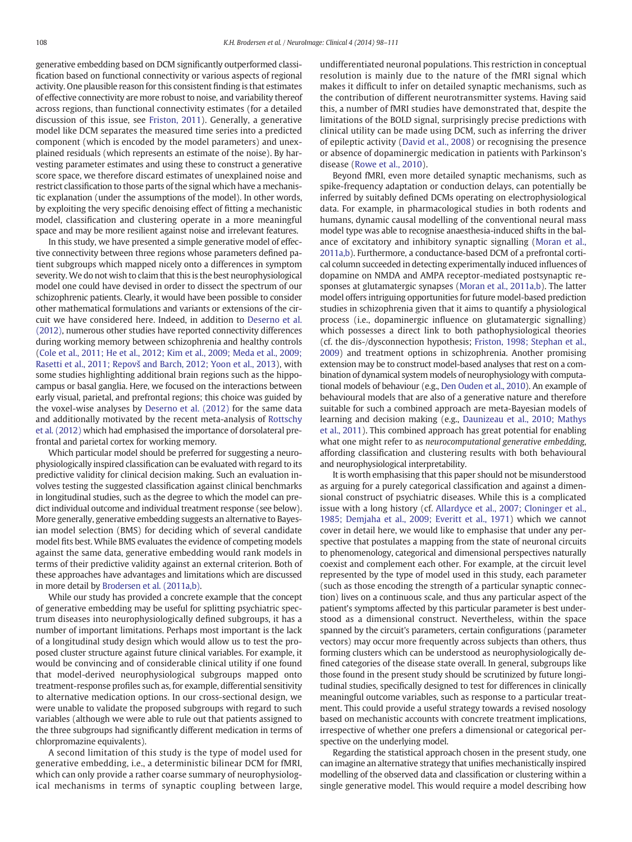generative embedding based on DCM significantly outperformed classification based on functional connectivity or various aspects of regional activity. One plausible reason for this consistent finding is that estimates of effective connectivity are more robust to noise, and variability thereof across regions, than functional connectivity estimates (for a detailed discussion of this issue, see [Friston, 2011\)](#page-12-0). Generally, a generative model like DCM separates the measured time series into a predicted component (which is encoded by the model parameters) and unexplained residuals (which represents an estimate of the noise). By harvesting parameter estimates and using these to construct a generative score space, we therefore discard estimates of unexplained noise and restrict classification to those parts of the signal which have a mechanistic explanation (under the assumptions of the model). In other words, by exploiting the very specific denoising effect of fitting a mechanistic model, classification and clustering operate in a more meaningful space and may be more resilient against noise and irrelevant features.

In this study, we have presented a simple generative model of effective connectivity between three regions whose parameters defined patient subgroups which mapped nicely onto a differences in symptom severity. We do not wish to claim that this is the best neurophysiological model one could have devised in order to dissect the spectrum of our schizophrenic patients. Clearly, it would have been possible to consider other mathematical formulations and variants or extensions of the circuit we have considered here. Indeed, in addition to [Deserno et al.](#page-12-0) [\(2012\)](#page-12-0), numerous other studies have reported connectivity differences during working memory between schizophrenia and healthy controls [\(Cole et al., 2011; He et al., 2012; Kim et al., 2009; Meda et al., 2009;](#page-11-0) Rasetti et al., 2011; Repovš [and Barch, 2012; Yoon et al., 2013](#page-11-0)), with some studies highlighting additional brain regions such as the hippocampus or basal ganglia. Here, we focused on the interactions between early visual, parietal, and prefrontal regions; this choice was guided by the voxel-wise analyses by [Deserno et al. \(2012\)](#page-12-0) for the same data and additionally motivated by the recent meta-analysis of [Rottschy](#page-13-0) [et al. \(2012\)](#page-13-0) which had emphasised the importance of dorsolateral prefrontal and parietal cortex for working memory.

Which particular model should be preferred for suggesting a neurophysiologically inspired classification can be evaluated with regard to its predictive validity for clinical decision making. Such an evaluation involves testing the suggested classification against clinical benchmarks in longitudinal studies, such as the degree to which the model can predict individual outcome and individual treatment response (see below). More generally, generative embedding suggests an alternative to Bayesian model selection (BMS) for deciding which of several candidate model fits best. While BMS evaluates the evidence of competing models against the same data, generative embedding would rank models in terms of their predictive validity against an external criterion. Both of these approaches have advantages and limitations which are discussed in more detail by [Brodersen et al. \(2011a,b\).](#page-11-0)

While our study has provided a concrete example that the concept of generative embedding may be useful for splitting psychiatric spectrum diseases into neurophysiologically defined subgroups, it has a number of important limitations. Perhaps most important is the lack of a longitudinal study design which would allow us to test the proposed cluster structure against future clinical variables. For example, it would be convincing and of considerable clinical utility if one found that model-derived neurophysiological subgroups mapped onto treatment-response profiles such as, for example, differential sensitivity to alternative medication options. In our cross-sectional design, we were unable to validate the proposed subgroups with regard to such variables (although we were able to rule out that patients assigned to the three subgroups had significantly different medication in terms of chlorpromazine equivalents).

A second limitation of this study is the type of model used for generative embedding, i.e., a deterministic bilinear DCM for fMRI, which can only provide a rather coarse summary of neurophysiological mechanisms in terms of synaptic coupling between large, undifferentiated neuronal populations. This restriction in conceptual resolution is mainly due to the nature of the fMRI signal which makes it difficult to infer on detailed synaptic mechanisms, such as the contribution of different neurotransmitter systems. Having said this, a number of fMRI studies have demonstrated that, despite the limitations of the BOLD signal, surprisingly precise predictions with clinical utility can be made using DCM, such as inferring the driver of epileptic activity [\(David et al., 2008\)](#page-12-0) or recognising the presence or absence of dopaminergic medication in patients with Parkinson's disease ([Rowe et al., 2010\)](#page-13-0).

Beyond fMRI, even more detailed synaptic mechanisms, such as spike-frequency adaptation or conduction delays, can potentially be inferred by suitably defined DCMs operating on electrophysiological data. For example, in pharmacological studies in both rodents and humans, dynamic causal modelling of the conventional neural mass model type was able to recognise anaesthesia-induced shifts in the balance of excitatory and inhibitory synaptic signalling ([Moran et al.,](#page-12-0) [2011a,b\)](#page-12-0). Furthermore, a conductance-based DCM of a prefrontal cortical column succeeded in detecting experimentally induced influences of dopamine on NMDA and AMPA receptor-mediated postsynaptic responses at glutamatergic synapses [\(Moran et al., 2011a,b\)](#page-12-0). The latter model offers intriguing opportunities for future model-based prediction studies in schizophrenia given that it aims to quantify a physiological process (i.e., dopaminergic influence on glutamatergic signalling) which possesses a direct link to both pathophysiological theories (cf. the dis-/dysconnection hypothesis; [Friston, 1998; Stephan et al.,](#page-12-0) [2009\)](#page-12-0) and treatment options in schizophrenia. Another promising extension may be to construct model-based analyses that rest on a combination of dynamical system models of neurophysiology with computational models of behaviour (e.g., [Den Ouden et al., 2010](#page-12-0)). An example of behavioural models that are also of a generative nature and therefore suitable for such a combined approach are meta-Bayesian models of learning and decision making (e.g., [Daunizeau et al., 2010; Mathys](#page-12-0) [et al., 2011](#page-12-0)). This combined approach has great potential for enabling what one might refer to as neurocomputational generative embedding, affording classification and clustering results with both behavioural and neurophysiological interpretability.

It is worth emphasising that this paper should not be misunderstood as arguing for a purely categorical classification and against a dimensional construct of psychiatric diseases. While this is a complicated issue with a long history (cf. [Allardyce et al., 2007; Cloninger et al.,](#page-11-0) [1985; Demjaha et al., 2009; Everitt et al., 1971\)](#page-11-0) which we cannot cover in detail here, we would like to emphasise that under any perspective that postulates a mapping from the state of neuronal circuits to phenomenology, categorical and dimensional perspectives naturally coexist and complement each other. For example, at the circuit level represented by the type of model used in this study, each parameter (such as those encoding the strength of a particular synaptic connection) lives on a continuous scale, and thus any particular aspect of the patient's symptoms affected by this particular parameter is best understood as a dimensional construct. Nevertheless, within the space spanned by the circuit's parameters, certain configurations (parameter vectors) may occur more frequently across subjects than others, thus forming clusters which can be understood as neurophysiologically defined categories of the disease state overall. In general, subgroups like those found in the present study should be scrutinized by future longitudinal studies, specifically designed to test for differences in clinically meaningful outcome variables, such as response to a particular treatment. This could provide a useful strategy towards a revised nosology based on mechanistic accounts with concrete treatment implications, irrespective of whether one prefers a dimensional or categorical perspective on the underlying model.

Regarding the statistical approach chosen in the present study, one can imagine an alternative strategy that unifies mechanistically inspired modelling of the observed data and classification or clustering within a single generative model. This would require a model describing how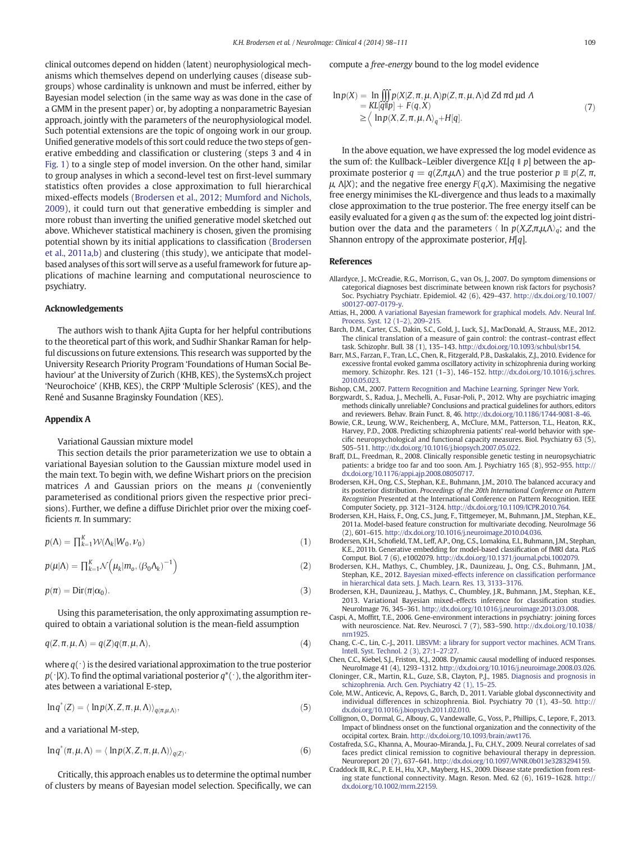<span id="page-11-0"></span>clinical outcomes depend on hidden (latent) neurophysiological mechanisms which themselves depend on underlying causes (disease subgroups) whose cardinality is unknown and must be inferred, either by Bayesian model selection (in the same way as was done in the case of a GMM in the present paper) or, by adopting a nonparametric Bayesian approach, jointly with the parameters of the neurophysiological model. Such potential extensions are the topic of ongoing work in our group. Unified generative models of this sort could reduce the two steps of generative embedding and classification or clustering (steps 3 and 4 in [Fig. 1\)](#page-2-0) to a single step of model inversion. On the other hand, similar to group analyses in which a second-level test on first-level summary statistics often provides a close approximation to full hierarchical mixed-effects models (Brodersen et al., 2012; Mumford and Nichols, 2009), it could turn out that generative embedding is simpler and more robust than inverting the unified generative model sketched out above. Whichever statistical machinery is chosen, given the promising potential shown by its initial applications to classification (Brodersen et al., 2011a,b) and clustering (this study), we anticipate that modelbased analyses of this sort will serve as a useful framework for future applications of machine learning and computational neuroscience to psychiatry.

#### Acknowledgements

The authors wish to thank Ajita Gupta for her helpful contributions to the theoretical part of this work, and Sudhir Shankar Raman for helpful discussions on future extensions. This research was supported by the University Research Priority Program 'Foundations of Human Social Behaviour' at the University of Zurich (KHB, KES), the SystemsX.ch project 'Neurochoice' (KHB, KES), the CRPP 'Multiple Sclerosis' (KES), and the René and Susanne Braginsky Foundation (KES).

#### Appendix A

#### Variational Gaussian mixture model

This section details the prior parameterization we use to obtain a variational Bayesian solution to the Gaussian mixture model used in the main text. To begin with, we define Wishart priors on the precision matrices  $\Lambda$  and Gaussian priors on the means  $\mu$  (conveniently parameterised as conditional priors given the respective prior precisions). Further, we define a diffuse Dirichlet prior over the mixing coefficients  $\pi$ . In summary:

$$
p(\Lambda) = \prod_{k=1}^{K} \mathcal{W}(\Lambda_k | W_0, \nu_0)
$$
\n<sup>(1)</sup>

$$
p(\mu|\Lambda) = \prod_{k=1}^{K} \mathcal{N}\left(\mu_k|m_o, (\beta_0 \Lambda_k)^{-1}\right)
$$
 (2)

$$
p(\pi) = \text{Dir}(\pi|\alpha_0). \tag{3}
$$

Using this parameterisation, the only approximating assumption required to obtain a variational solution is the mean-field assumption

$$
q(Z, \pi, \mu, \Lambda) = q(Z)q(\pi, \mu, \Lambda), \qquad (4)
$$

where  $q(\cdot)$  is the desired variational approximation to the true posterior  $p(\cdot|X)$ . To find the optimal variational posterior  $q^*(\cdot)$ , the algorithm iterates between a variational E-step,

$$
\ln q^*(Z) = \langle \ln p(X, Z, \pi, \mu, \Lambda) \rangle_{q(\pi, \mu, \Lambda)}, \tag{5}
$$

and a variational M-step,

$$
\ln q^*(\pi, \mu, \Lambda) = \langle \ln p(X, Z, \pi, \mu, \Lambda) \rangle_{q(Z)}.
$$
 (6)

Critically, this approach enables us to determine the optimal number of clusters by means of Bayesian model selection. Specifically, we can compute a free-energy bound to the log model evidence

$$
\ln p(X) = \ln \iiint p(X|Z, \pi, \mu, \Lambda) p(Z, \pi, \mu, \Lambda) dZd \pi d \mu d \Lambda
$$
  
=  $KL[q||p] + F(q, X)$   

$$
\ge \left\langle \ln p(X, Z, \pi, \mu, \Lambda)_q + H[q] \right\rangle.
$$
 (7)

In the above equation, we have expressed the log model evidence as the sum of: the Kullback–Leibler divergence  $KL[q \parallel p]$  between the approximate posterior  $q = q(Z, \pi, \mu, \Lambda)$  and the true posterior  $p \equiv p(Z, \pi, \Lambda)$  $\mu$ ,  $Λ|X$ ); and the negative free energy  $F(q,X)$ . Maximising the negative free energy minimises the KL-divergence and thus leads to a maximally close approximation to the true posterior. The free energy itself can be easily evaluated for a given q as the sum of: the expected log joint distribution over the data and the parameters  $\langle \ln p(X,Z,\pi,\mu,\Lambda)_{q} \rangle$ ; and the Shannon entropy of the approximate posterior,  $H[q]$ .

### References

- Allardyce, J., McCreadie, R.G., Morrison, G., van Os, J., 2007. Do symptom dimensions or categorical diagnoses best discriminate between known risk factors for psychosis? Soc. Psychiatry Psychiatr. Epidemiol. 42 (6), 429–437. http://dx.doi.org/[10.1007/](http://dx.doi.org/10.1007/s00127-007-0179-y) [s00127-007-0179-y.](http://dx.doi.org/10.1007/s00127-007-0179-y)
- Attias, H., 2000. [A variational Bayesian framework for graphical models. Adv. Neural Inf.](http://refhub.elsevier.com/S2213-1582(13)00150-2/rf0010) [Process. Syst. 12 \(1](http://refhub.elsevier.com/S2213-1582(13)00150-2/rf0010)–2), 209–215.
- Barch, D.M., Carter, C.S., Dakin, S.C., Gold, J., Luck, S.J., MacDonald, A., Strauss, M.E., 2012. The clinical translation of a measure of gain control: the contrast–contrast effect task. Schizophr. Bull. 38 (1), 135–143. http://dx.doi.org[/10.1093/schbul/sbr154.](http://dx.doi.org/10.1093/schbul/sbr154)
- Barr, M.S., Farzan, F., Tran, L.C., Chen, R., Fitzgerald, P.B., Daskalakis, Z.J., 2010. Evidence for excessive frontal evoked gamma oscillatory activity in schizophrenia during working memory. Schizophr. Res. 121 (1–3), 146–152. http://dx.doi.org/[10.1016/j.schres.](http://dx.doi.org/10.1016/j.schres.2010.05.023) [2010.05.023](http://dx.doi.org/10.1016/j.schres.2010.05.023).
- Bishop, C.M., 2007. [Pattern Recognition and Machine Learning. Springer New York.](http://refhub.elsevier.com/S2213-1582(13)00150-2/rf0025)
- Borgwardt, S., Radua, J., Mechelli, A., Fusar-Poli, P., 2012. Why are psychiatric imaging methods clinically unreliable? Conclusions and practical guidelines for authors, editors and reviewers. Behav. Brain Funct. 8, 46. http://dx.doi.org/[10.1186/1744-9081-8-46.](http://dx.doi.org/10.1186/1744-9081-8-46)
- Bowie, C.R., Leung, W.W., Reichenberg, A., McClure, M.M., Patterson, T.L., Heaton, R.K., Harvey, P.D., 2008. Predicting schizophrenia patients' real-world behavior with specific neuropsychological and functional capacity measures. Biol. Psychiatry 63 (5), 505–511. http://dx.doi.org[/10.1016/j.biopsych.2007.05.022.](http://dx.doi.org/10.1016/j.biopsych.2007.05.022)
- Braff, D.L., Freedman, R., 2008. Clinically responsible genetic testing in neuropsychiatric patients: a bridge too far and too soon. Am. J. Psychiatry 165 (8), 952–955. http:// dx.doi.org/[10.1176/appi.ajp.2008.08050717](http://dx.doi.org/10.1176/appi.ajp.2008.08050717).
- Brodersen, K.H., Ong, C.S., Stephan, K.E., Buhmann, J.M., 2010. The balanced accuracy and its posterior distribution. Proceedings of the 20th International Conference on Pattern Recognition Presented at the International Conference on Pattern Recognition. IEEE Computer Society, pp. 3121–3124. http://dx.doi.org/[10.1109/ICPR.2010.764](http://dx.doi.org/10.1109/ICPR.2010.764).
- Brodersen, K.H., Haiss, F., Ong, C.S., Jung, F., Tittgemeyer, M., Buhmann, J.M., Stephan, K.E., 2011a. Model-based feature construction for multivariate decoding. NeuroImage 56 (2), 601–615. http://dx.doi.org/[10.1016/j.neuroimage.2010.04.036.](http://dx.doi.org/10.1016/j.neuroimage.2010.04.036)
- Brodersen, K.H., Schofield, T.M., Leff, A.P., Ong, C.S., Lomakina, E.I., Buhmann, J.M., Stephan, K.E., 2011b. Generative embedding for model-based classification of fMRI data. PLoS Comput. Biol. 7 (6), e1002079. http://dx.doi.org[/10.1371/journal.pcbi.1002079.](http://dx.doi.org/10.1371/journal.pcbi.1002079)
- Brodersen, K.H., Mathys, C., Chumbley, J.R., Daunizeau, J., Ong, C.S., Buhmann, J.M., Stephan, K.E., 2012. [Bayesian mixed-effects inference on classi](http://refhub.elsevier.com/S2213-1582(13)00150-2/rf0055)fication performance [in hierarchical data sets. J. Mach. Learn. Res. 13, 3133](http://refhub.elsevier.com/S2213-1582(13)00150-2/rf0055)–3176.
- Brodersen, K.H., Daunizeau, J., Mathys, C., Chumbley, J.R., Buhmann, J.M., Stephan, K.E., 2013. Variational Bayesian mixed-effects inference for classification studies. NeuroImage 76, 345–361. http://dx.doi.org[/10.1016/j.neuroimage.2013.03.008.](http://dx.doi.org/10.1016/j.neuroimage.2013.03.008)
- Caspi, A., Moffitt, T.E., 2006. Gene-environment interactions in psychiatry: joining forces with neuroscience. Nat. Rev. Neurosci. 7 (7), 583–590. http://dx.doi.org/[10.1038/](http://dx.doi.org/10.1038/nrn1925) [nrn1925.](http://dx.doi.org/10.1038/nrn1925)
- Chang, C.-C., Lin, C.-J., 2011. [LIBSVM: a library for support vector machines. ACM Trans.](http://refhub.elsevier.com/S2213-1582(13)00150-2/rf0455) [Intell. Syst. Technol. 2 \(3\), 27:1](http://refhub.elsevier.com/S2213-1582(13)00150-2/rf0455)–27:27.
- Chen, C.C., Kiebel, S.J., Friston, K.J., 2008. Dynamic causal modelling of induced responses. NeuroImage 41 (4), 1293–1312. http://dx.doi.org/[10.1016/j.neuroimage.2008.03.026](http://dx.doi.org/10.1016/j.neuroimage.2008.03.026). Cloninger, C.R., Martin, R.L., Guze, S.B., Clayton, P.J., 1985. [Diagnosis and prognosis in](http://refhub.elsevier.com/S2213-1582(13)00150-2/rf0080)
- [schizophrenia. Arch. Gen. Psychiatry 42 \(1\), 15](http://refhub.elsevier.com/S2213-1582(13)00150-2/rf0080)–25. Cole, M.W., Anticevic, A., Repovs, G., Barch, D., 2011. Variable global dysconnectivity and
- individual differences in schizophrenia. Biol. Psychiatry 70 (1), 43–50. http:// dx.doi.org/[10.1016/j.biopsych.2011.02.010](http://dx.doi.org/10.1016/j.biopsych.2011.02.010).
- Collignon, O., Dormal, G., Albouy, G., Vandewalle, G., Voss, P., Phillips, C., Lepore, F., 2013. Impact of blindness onset on the functional organization and the connectivity of the occipital cortex. Brain. http://dx.doi.org[/10.1093/brain/awt176](http://dx.doi.org/10.1093/brain/awt176).
- Costafreda, S.G., Khanna, A., Mourao-Miranda, J., Fu, C.H.Y., 2009. Neural correlates of sad faces predict clinical remission to cognitive behavioural therapy in depression. Neuroreport 20 (7), 637–641. http://dx.doi.org/[10.1097/WNR.0b013e3283294159](http://dx.doi.org/10.1097/WNR.0b013e3283294159).
- Craddock III, R.C., P. E. H., Hu, X.P., Mayberg, H.S., 2009. Disease state prediction from resting state functional connectivity. Magn. Reson. Med. 62 (6), 1619–1628. http:// dx.doi.org/[10.1002/mrm.22159.](http://dx.doi.org/10.1002/mrm.22159)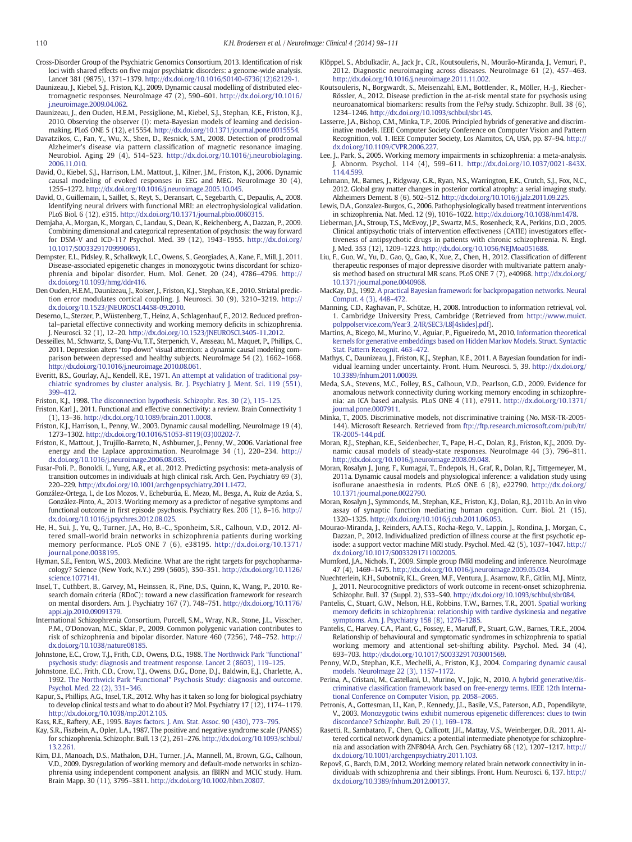- <span id="page-12-0"></span>Cross-Disorder Group of the Psychiatric Genomics Consortium, 2013. Identification of risk loci with shared effects on five major psychiatric disorders: a genome-wide analysis. Lancet 381 (9875), 1371–1379. http://dx.doi.org[/10.1016/S0140-6736\(12\)62129-1.](http://dx.doi.org/10.1016/S0140-6736(12)62129-1)
- Daunizeau, J., Kiebel, S.J., Friston, K.J., 2009. Dynamic causal modelling of distributed electromagnetic responses. NeuroImage 47 (2), 590–601. http://dx.doi.org/[10.1016/](http://dx.doi.org/10.1016/j.neuroimage.2009.04.062) [j.neuroimage.2009.04.062.](http://dx.doi.org/10.1016/j.neuroimage.2009.04.062)
- Daunizeau, J., den Ouden, H.E.M., Pessiglione, M., Kiebel, S.J., Stephan, K.E., Friston, K.J., 2010. Observing the observer (I): meta-Bayesian models of learning and decisionmaking. PLoS ONE 5 (12), e15554. http://dx.doi.org[/10.1371/journal.pone.0015554.](http://dx.doi.org/10.1371/journal.pone.0015554) Davatzikos, C., Fan, Y., Wu, X., Shen, D., Resnick, S.M., 2008. Detection of prodromal
- Alzheimer's disease via pattern classification of magnetic resonance imaging. Neurobiol. Aging 29 (4), 514–523. http://dx.doi.org/[10.1016/j.neurobiolaging.](http://dx.doi.org/10.1016/j.neurobiolaging.2006.11.010) [2006.11.010](http://dx.doi.org/10.1016/j.neurobiolaging.2006.11.010).
- David, O., Kiebel, S.J., Harrison, L.M., Mattout, J., Kilner, J.M., Friston, K.J., 2006. Dynamic causal modeling of evoked responses in EEG and MEG. NeuroImage 30 (4), 1255–1272. http://dx.doi.org/[10.1016/j.neuroimage.2005.10.045.](http://dx.doi.org/10.1016/j.neuroimage.2005.10.045)
- David, O., Guillemain, I., Saillet, S., Reyt, S., Deransart, C., Segebarth, C., Depaulis, A., 2008. Identifying neural drivers with functional MRI: an electrophysiological validation. PLoS Biol. 6 (12), e315. http://dx.doi.org[/10.1371/journal.pbio.0060315](http://dx.doi.org/10.1371/journal.pbio.0060315).
- Demjaha, A., Morgan, K., Morgan, C., Landau, S., Dean, K., Reichenberg, A., Dazzan, P., 2009. Combining dimensional and categorical representation of psychosis: the way forward for DSM-V and ICD-11? Psychol. Med. 39 (12), 1943–1955. http://dx.doi.org/ [10.1017/S0033291709990651.](http://dx.doi.org/10.1017/S0033291709990651)
- Dempster, E.L., Pidsley, R., Schalkwyk, L.C., Owens, S., Georgiades, A., Kane, F., Mill, J., 2011. Disease-associated epigenetic changes in monozygotic twins discordant for schizophrenia and bipolar disorder. Hum. Mol. Genet. 20 (24), 4786–4796. http:// dx.doi.org[/10.1093/hmg/ddr416.](http://dx.doi.org/10.1093/hmg/ddr416)
- Den Ouden, H.E.M., Daunizeau, J., Roiser, J., Friston, K.J., Stephan, K.E., 2010. Striatal prediction error modulates cortical coupling. J. Neurosci. 30 (9), 3210–3219. http:// dx.doi.org[/10.1523/JNEUROSCI.4458-09.2010.](http://dx.doi.org/10.1523/JNEUROSCI.4458-09.2010)
- Deserno, L., Sterzer, P., Wüstenberg, T., Heinz, A., Schlagenhauf, F., 2012. Reduced prefrontal–parietal effective connectivity and working memory deficits in schizophrenia. J. Neurosci. 32 (1), 12–20. http://dx.doi.org[/10.1523/JNEUROSCI.3405-11.2012.](http://dx.doi.org/10.1523/JNEUROSCI.3405-11.2012)
- Desseilles, M., Schwartz, S., Dang-Vu, T.T., Sterpenich, V., Ansseau, M., Maquet, P., Phillips, C., 2011. Depression alters "top-down" visual attention: a dynamic causal modeling comparison between depressed and healthy subjects. NeuroImage 54 (2), 1662–1668. http://dx.doi.org[/10.1016/j.neuroimage.2010.08.061](http://dx.doi.org/10.1016/j.neuroimage.2010.08.061).
- Everitt, B.S., Gourlay, A.J., Kendell, R.E., 1971. [An attempt at validation of traditional psy](http://refhub.elsevier.com/S2213-1582(13)00150-2/rf0155)[chiatric syndromes by cluster analysis. Br. J. Psychiatry J. Ment. Sci. 119 \(551\),](http://refhub.elsevier.com/S2213-1582(13)00150-2/rf0155) 399–[412.](http://refhub.elsevier.com/S2213-1582(13)00150-2/rf0155)
- Friston, K.J., 1998. [The disconnection hypothesis. Schizophr. Res. 30 \(2\), 115](http://refhub.elsevier.com/S2213-1582(13)00150-2/rf0160)–125.
- Friston, Karl J., 2011. Functional and effective connectivity: a review. Brain Connectivity 1 (1), 13–36. http://dx.doi.org/[10.1089/brain.2011.0008.](http://dx.doi.org/10.1089/brain.2011.0008)
- Friston, K.J., Harrison, L., Penny, W., 2003. Dynamic causal modelling. NeuroImage 19 (4), 1273–1302. http://dx.doi.org/[10.1016/S1053-8119\(03\)00202-7](http://dx.doi.org/10.1016/S1053-8119(03)00202-7).
- Friston, K., Mattout, J., Trujillo-Barreto, N., Ashburner, J., Penny, W., 2006. Variational free energy and the Laplace approximation. NeuroImage 34 (1), 220–234. http:// dx.doi.org[/10.1016/j.neuroimage.2006.08.035](http://dx.doi.org/10.1016/j.neuroimage.2006.08.035).
- Fusar-Poli, P., Bonoldi, I., Yung, A.R., et al., 2012. Predicting psychosis: meta-analysis of transition outcomes in individuals at high clinical risk. Arch. Gen. Psychiatry 69 (3), 220–229. http://dx.doi.org/[10.1001/archgenpsychiatry.2011.1472.](http://dx.doi.org/10.1001/archgenpsychiatry.2011.1472)
- González-Ortega, I., de Los Mozos, V., Echeburúa, E., Mezo, M., Besga, A., Ruiz de Azúa, S., González-Pinto, A., 2013. Working memory as a predictor of negative symptoms and functional outcome in first episode psychosis. Psychiatry Res. 206 (1), 8–16. http:// dx.doi.org[/10.1016/j.psychres.2012.08.025](http://dx.doi.org/10.1016/j.psychres.2012.08.025).
- He, H., Sui, J., Yu, Q., Turner, J.A., Ho, B.-C., Sponheim, S.R., Calhoun, V.D., 2012. Altered small-world brain networks in schizophrenia patients during working memory performance. PLoS ONE 7 (6), e38195. http://dx.doi.org[/10.1371/](http://dx.doi.org/10.1371/journal.pone.0038195) [journal.pone.0038195](http://dx.doi.org/10.1371/journal.pone.0038195).
- Hyman, S.E., Fenton, W.S., 2003. Medicine. What are the right targets for psychopharmacology? Science (New York, N.Y.) 299 (5605), 350–351. http://dx.doi.org[/10.1126/](http://dx.doi.org/10.1126/science.1077141) [science.1077141](http://dx.doi.org/10.1126/science.1077141).
- Insel, T., Cuthbert, B., Garvey, M., Heinssen, R., Pine, D.S., Quinn, K., Wang, P., 2010. Research domain criteria (RDoC): toward a new classification framework for research on mental disorders. Am. J. Psychiatry 167 (7), 748–751. http://dx.doi.org/[10.1176/](http://dx.doi.org/10.1176/appi.ajp.2010.09091379) [appi.ajp.2010.09091379](http://dx.doi.org/10.1176/appi.ajp.2010.09091379).
- International Schizophrenia Consortium, Purcell, S.M., Wray, N.R., Stone, J.L., Visscher, P.M., O'Donovan, M.C., Sklar, P., 2009. Common polygenic variation contributes to risk of schizophrenia and bipolar disorder. Nature 460 (7256), 748–752. http:// dx.doi.org[/10.1038/nature08185](http://dx.doi.org/10.1038/nature08185).
- Johnstone, E.C., Crow, T.J., Frith, C.D., Owens, D.G., 1988. [The Northwick Park](http://refhub.elsevier.com/S2213-1582(13)00150-2/rf0215) "functional" [psychosis study: diagnosis and treatment response. Lancet 2 \(8603\), 119](http://refhub.elsevier.com/S2213-1582(13)00150-2/rf0215)–125.
- Johnstone, E.C., Frith, C.D., Crow, T.J., Owens, D.G., Done, D.J., Baldwin, E.J., Charlette, A., 1992. The Northwick Park "Functional" [Psychosis Study: diagnosis and outcome.](http://refhub.elsevier.com/S2213-1582(13)00150-2/rf0220) [Psychol. Med. 22 \(2\), 331](http://refhub.elsevier.com/S2213-1582(13)00150-2/rf0220)–346.
- Kapur, S., Phillips, A.G., Insel, T.R., 2012. Why has it taken so long for biological psychiatry to develop clinical tests and what to do about it? Mol. Psychiatry 17 (12), 1174–1179. http://dx.doi.org[/10.1038/mp.2012.105](http://dx.doi.org/10.1038/mp.2012.105).
- Kass, R.E., Raftery, A.E., 1995. [Bayes factors. J. Am. Stat. Assoc. 90 \(430\), 773](http://refhub.elsevier.com/S2213-1582(13)00150-2/rf0230)–795.
- Kay, S.R., Fiszbein, A., Opler, L.A., 1987. The positive and negative syndrome scale (PANSS) for schizophrenia. Schizophr. Bull. 13 (2), 261–276. http://dx.doi.org[/10.1093/schbul/](http://dx.doi.org/10.1093/schbul/13.2.261) [13.2.261.](http://dx.doi.org/10.1093/schbul/13.2.261)
- Kim, D.I., Manoach, D.S., Mathalon, D.H., Turner, J.A., Mannell, M., Brown, G.G., Calhoun, V.D., 2009. Dysregulation of working memory and default-mode networks in schizophrenia using independent component analysis, an fBIRN and MCIC study. Hum. Brain Mapp. 30 (11), 3795–3811. http://dx.doi.org[/10.1002/hbm.20807](http://dx.doi.org/10.1002/hbm.20807).
- Klöppel, S., Abdulkadir, A., Jack Jr., C.R., Koutsouleris, N., Mourão-Miranda, J., Vemuri, P., 2012. Diagnostic neuroimaging across diseases. NeuroImage 61 (2), 457–463. http://dx.doi.org[/10.1016/j.neuroimage.2011.11.002.](http://dx.doi.org/10.1016/j.neuroimage.2011.11.002)
- Koutsouleris, N., Borgwardt, S., Meisenzahl, E.M., Bottlender, R., Möller, H.-J., Riecher-Rössler, A., 2012. Disease prediction in the at-risk mental state for psychosis using neuroanatomical biomarkers: results from the FePsy study. Schizophr. Bull. 38 (6), 1234–1246. http://dx.doi.org/[10.1093/schbul/sbr145.](http://dx.doi.org/10.1093/schbul/sbr145)
- Lasserre, J.A., Bishop, C.M., Minka, T.P., 2006. Principled hybrids of generative and discriminative models. IEEE Computer Society Conference on Computer Vision and Pattern Recognition, vol. 1. IEEE Computer Society, Los Alamitos, CA, USA, pp. 87–94. http:// dx.doi.org[/10.1109/CVPR.2006.227.](http://dx.doi.org/10.1109/CVPR.2006.227)
- Lee, J., Park, S., 2005. Working memory impairments in schizophrenia: a meta-analysis. J. Abnorm. Psychol. 114 (4), 599–611. http://dx.doi.org[/10.1037/0021-843X.](http://dx.doi.org/10.1037/0021-843X.114.4.599) [114.4.599](http://dx.doi.org/10.1037/0021-843X.114.4.599).
- Lehmann, M., Barnes, J., Ridgway, G.R., Ryan, N.S., Warrington, E.K., Crutch, S.J., Fox, N.C., 2012. Global gray matter changes in posterior cortical atrophy: a serial imaging study. Alzheimers Dement. 8 (6), 502–512. http://dx.doi.org/[10.1016/j.jalz.2011.09.225](http://dx.doi.org/10.1016/j.jalz.2011.09.225).
- Lewis, D.A., Gonzalez-Burgos, G., 2006. Pathophysiologically based treatment interventions in schizophrenia. Nat. Med. 12 (9), 1016–1022. http://dx.doi.org[/10.1038/nm1478](http://dx.doi.org/10.1038/nm1478).
- Lieberman, J.A., Stroup, T.S., McEvoy, J.P., Swartz, M.S., Rosenheck, R.A., Perkins, D.O., 2005. Clinical antipsychotic trials of intervention effectiveness (CATIE) investigators effectiveness of antipsychotic drugs in patients with chronic schizophrenia. N. Engl. J. Med. 353 (12), 1209–1223. http://dx.doi.org[/10.1056/NEJMoa051688.](http://dx.doi.org/10.1056/NEJMoa051688)
- Liu, F., Guo, W., Yu, D., Gao, Q., Gao, K., Xue, Z., Chen, H., 2012. Classification of different therapeutic responses of major depressive disorder with multivariate pattern analysis method based on structural MR scans. PLoS ONE 7 (7), e40968. http://dx.doi.org/ [10.1371/journal.pone.0040968.](http://dx.doi.org/10.1371/journal.pone.0040968)
- MacKay, D.J., 1992. [A practical Bayesian framework for backpropagation networks. Neural](http://refhub.elsevier.com/S2213-1582(13)00150-2/rf0280) [Comput. 4 \(3\), 448](http://refhub.elsevier.com/S2213-1582(13)00150-2/rf0280)–472.
- Manning, C.D., Raghavan, P., Schütze, H., 2008. Introduction to information retrieval, vol. 1. Cambridge University Press, Cambridge (Retrieved from [http://www.muict.](http://www.muict.polppolservice.com/Year3_2/IR/SEC3/L8%5B4slides%5D.pdf) [polppolservice.com/Year3\\_2/IR/SEC3/L8\[4slides\].pdf\)](http://www.muict.polppolservice.com/Year3_2/IR/SEC3/L8%5B4slides%5D.pdf).
- Martins, A., Bicego, M., Murino, V., Aguiar, P., Figueiredo, M., 2010. [Information theoretical](http://refhub.elsevier.com/S2213-1582(13)00150-2/rf0285) [kernels for generative embeddings based on Hidden Markov Models. Struct. Syntactic](http://refhub.elsevier.com/S2213-1582(13)00150-2/rf0285) [Stat. Pattern Recognit. 463](http://refhub.elsevier.com/S2213-1582(13)00150-2/rf0285)–472.
- Mathys, C., Daunizeau, J., Friston, K.J., Stephan, K.E., 2011. A Bayesian foundation for individual learning under uncertainty. Front. Hum. Neurosci. 5, 39. http://dx.doi.org/ [10.3389/fnhum.2011.00039](http://dx.doi.org/10.3389/fnhum.2011.00039).
- Meda, S.A., Stevens, M.C., Folley, B.S., Calhoun, V.D., Pearlson, G.D., 2009. Evidence for anomalous network connectivity during working memory encoding in schizophrenia: an ICA based analysis. PLoS ONE 4 (11), e7911. http://dx.doi.org/[10.1371/](http://dx.doi.org/10.1371/journal.pone.0007911) [journal.pone.0007911.](http://dx.doi.org/10.1371/journal.pone.0007911)
- Minka, T., 2005. Discriminative models, not discriminative training (No. MSR-TR-2005- 144). Microsoft Research. Retrieved from [ftp://ftp.research.microsoft.com/pub/tr/](ftp://ftp.research.microsoft.com/pub/tr/TR-2005-144.pdf) [TR-2005-144.pdf](ftp://ftp.research.microsoft.com/pub/tr/TR-2005-144.pdf).
- Moran, R.J., Stephan, K.E., Seidenbecher, T., Pape, H.-C., Dolan, R.J., Friston, K.J., 2009. Dynamic causal models of steady-state responses. NeuroImage 44 (3), 796–811. http://dx.doi.org[/10.1016/j.neuroimage.2008.09.048.](http://dx.doi.org/10.1016/j.neuroimage.2008.09.048)
- Moran, Rosalyn J., Jung, F., Kumagai, T., Endepols, H., Graf, R., Dolan, R.J., Tittgemeyer, M., 2011a. Dynamic causal models and physiological inference: a validation study using isoflurane anaesthesia in rodents. PLoS ONE 6 (8), e22790. http://dx.doi.org [10.1371/journal.pone.0022790.](http://dx.doi.org/10.1371/journal.pone.0022790)
- Moran, Rosalyn J., Symmonds, M., Stephan, K.E., Friston, K.J., Dolan, R.J., 2011b. An in vivo assay of synaptic function mediating human cognition. Curr. Biol. 21 (15), 1320–1325. http://dx.doi.org/[10.1016/j.cub.2011.06.053](http://dx.doi.org/10.1016/j.cub.2011.06.053).
- Mourao-Miranda, J., Reinders, A.A.T.S., Rocha-Rego, V., Lappin, J., Rondina, J., Morgan, C., Dazzan, P., 2012. Individualized prediction of illness course at the first psychotic episode: a support vector machine MRI study. Psychol. Med. 42 (5), 1037–1047. http:// dx.doi.org[/10.1017/S0033291711002005](http://dx.doi.org/10.1017/S0033291711002005).
- Mumford, J.A., Nichols, T., 2009. Simple group fMRI modeling and inference. NeuroImage 47 (4), 1469–1475. http://dx.doi.org[/10.1016/j.neuroimage.2009.05.034](http://dx.doi.org/10.1016/j.neuroimage.2009.05.034).
- Nuechterlein, K.H., Subotnik, K.L., Green, M.F., Ventura, J., Asarnow, R.F., Gitlin, M.J., Mintz, J., 2011. Neurocognitive predictors of work outcome in recent-onset schizophrenia. Schizophr. Bull. 37 (Suppl. 2), S33–S40. http://dx.doi.org[/10.1093/schbul/sbr084](http://dx.doi.org/10.1093/schbul/sbr084).
- Pantelis, C., Stuart, G.W., Nelson, H.E., Robbins, T.W., Barnes, T.R., 2001. [Spatial working](http://refhub.elsevier.com/S2213-1582(13)00150-2/rf0335) memory defi[cits in schizophrenia: relationship with tardive dyskinesia and negative](http://refhub.elsevier.com/S2213-1582(13)00150-2/rf0335) [symptoms. Am. J. Psychiatry 158 \(8\), 1276](http://refhub.elsevier.com/S2213-1582(13)00150-2/rf0335)–1285.
- Pantelis, C., Harvey, C.A., Plant, G., Fossey, E., Maruff, P., Stuart, G.W., Barnes, T.R.E., 2004. Relationship of behavioural and symptomatic syndromes in schizophrenia to spatial working memory and attentional set-shifting ability. Psychol. Med. 34 (4), 693–703. http://dx.doi.org/[10.1017/S0033291703001569.](http://dx.doi.org/10.1017/S0033291703001569)
- Penny, W.D., Stephan, K.E., Mechelli, A., Friston, K.J., 2004. [Comparing dynamic causal](http://refhub.elsevier.com/S2213-1582(13)00150-2/rf0340) [models. NeuroImage 22 \(3\), 1157](http://refhub.elsevier.com/S2213-1582(13)00150-2/rf0340)–1172.
- Perina, A., Cristani, M., Castellani, U., Murino, V., Jojic, N., 2010. [A hybrid generative/dis](http://refhub.elsevier.com/S2213-1582(13)00150-2/rf0555)criminative classifi[cation framework based on free-energy terms. IEEE 12th Interna](http://refhub.elsevier.com/S2213-1582(13)00150-2/rf0555)[tional Conference on Computer Vision, pp. 2058](http://refhub.elsevier.com/S2213-1582(13)00150-2/rf0555)–2065.
- Petronis, A., Gottesman, I.I., Kan, P., Kennedy, J.L., Basile, V.S., Paterson, A.D., Popendikyte, V., 2003. [Monozygotic twins exhibit numerous epigenetic differences: clues to twin](http://refhub.elsevier.com/S2213-1582(13)00150-2/rf0345) [discordance? Schizophr. Bull. 29 \(1\), 169](http://refhub.elsevier.com/S2213-1582(13)00150-2/rf0345)–178.
- Rasetti, R., Sambataro, F., Chen, Q., Callicott, J.H., Mattay, V.S., Weinberger, D.R., 2011. Altered cortical network dynamics: a potential intermediate phenotype for schizophrenia and association with ZNF804A. Arch. Gen. Psychiatry 68 (12), 1207–1217. http:// dx.doi.org[/10.1001/archgenpsychiatry.2011.103.](http://dx.doi.org/10.1001/archgenpsychiatry.2011.103)
- Repovš, G., Barch, D.M., 2012. Working memory related brain network connectivity in individuals with schizophrenia and their siblings. Front. Hum. Neurosci. 6, 137. http:// dx.doi.org[/10.3389/fnhum.2012.00137.](http://dx.doi.org/10.3389/fnhum.2012.00137)